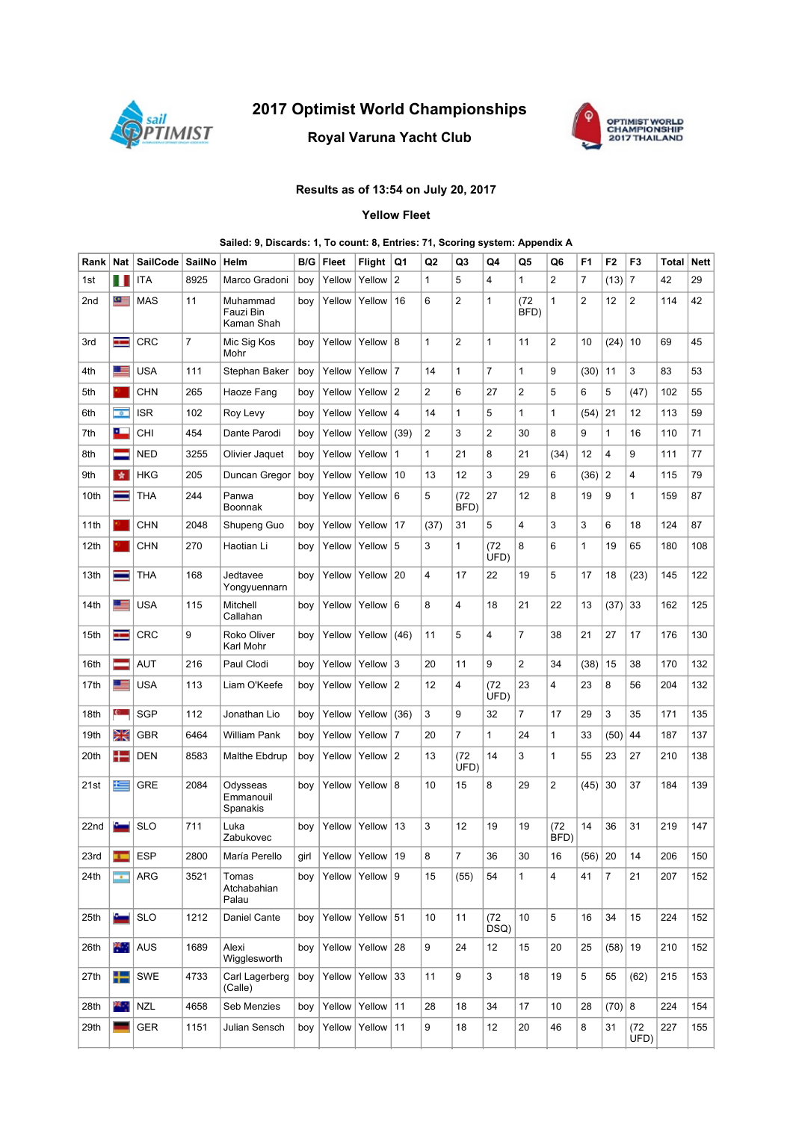

# 2017 Optimist World Championships

## Royal Varuna Yacht Club



## Results as of 13:54 on July 20, 2017

### Yellow Fleet

#### Sailed: 9, Discards: 1, To count: 8, Entries: 71, Scoring system: Appendix A

| Rank | <b>Nat</b>                 | <b>SailCode</b> | SailNo         | Helm                                | B/G  | Fleet  | <b>Flight</b> | Q1             | Q2             | Q <sub>3</sub> | Q4             | Q5           | Q6             | F <sub>1</sub> | F <sub>2</sub> | F3             | Total | <b>Nett</b> |
|------|----------------------------|-----------------|----------------|-------------------------------------|------|--------|---------------|----------------|----------------|----------------|----------------|--------------|----------------|----------------|----------------|----------------|-------|-------------|
| 1st  | ш                          | <b>ITA</b>      | 8925           | Marco Gradoni                       | boy  | Yellow | Yellow        | 2              | 1              | 5              | $\overline{4}$ | $\mathbf{1}$ | $\overline{c}$ | 7              | (13)           | $\overline{7}$ | 42    | 29          |
| 2nd  | $\bullet$                  | <b>MAS</b>      | 11             | Muhammad<br>Fauzi Bin<br>Kaman Shah | boy  | Yellow | Yellow        | 16             | 6              | $\overline{2}$ | 1              | (72)<br>BFD) | 1              | 2              | 12             | 2              | 114   | 42          |
| 3rd  | H                          | <b>CRC</b>      | $\overline{7}$ | Mic Sig Kos<br>Mohr                 | boy  | Yellow | Yellow $ 8$   |                | 1              | $\overline{2}$ | 1              | 11           | 2              | 10             | (24)           | 10             | 69    | 45          |
| 4th  | 트                          | <b>USA</b>      | 111            | Stephan Baker                       | boy  | Yellow | Yellow 7      |                | 14             | $\mathbf{1}$   | $\overline{7}$ | 1            | 9              | (30)           | 11             | 3              | 83    | 53          |
| 5th  |                            | <b>CHN</b>      | 265            | Haoze Fang                          | boy  | Yellow | Yellow 2      |                | 2              | 6              | 27             | 2            | 5              | 6              | 5              | (47)           | 102   | 55          |
| 6th  | $\overline{\phantom{a}}$   | <b>ISR</b>      | 102            | Roy Levy                            | boy  | Yellow | Yellow        | $\overline{4}$ | 14             | 1              | 5              | 1            | 1              | (54)           | 21             | 12             | 113   | 59          |
| 7th  | ௨                          | <b>CHI</b>      | 454            | Dante Parodi                        | boy  | Yellow | Yellow        | (39)           | $\overline{2}$ | 3              | $\overline{2}$ | 30           | 8              | 9              | $\mathbf{1}$   | 16             | 110   | 71          |
| 8th  | =                          | <b>NED</b>      | 3255           | Olivier Jaquet                      | boy  | Yellow | Yellow        | $\mathbf{1}$   | 1              | 21             | 8              | 21           | (34)           | 12             | 4              | 9              | 111   | 77          |
| 9th  | 女                          | <b>HKG</b>      | 205            | Duncan Gregor                       | boy  | Yellow | Yellow        | 10             | 13             | 12             | 3              | 29           | 6              | (36)           | $\overline{2}$ | 4              | 115   | 79          |
| 10th | ▬                          | <b>THA</b>      | 244            | Panwa<br>Boonnak                    | boy  | Yellow | Yellow        | 6              | 5              | (72)<br>BFD)   | 27             | 12           | 8              | 19             | 9              | $\mathbf{1}$   | 159   | 87          |
| 11th |                            | <b>CHN</b>      | 2048           | Shupeng Guo                         | boy  | Yellow | Yellow        | 17             | (37)           | 31             | 5              | 4            | 3              | 3              | 6              | 18             | 124   | 87          |
| 12th |                            | <b>CHN</b>      | 270            | Haotian Li                          | boy  | Yellow | Yellow $ 5$   |                | 3              | $\mathbf{1}$   | (72)<br>UFD)   | 8            | 6              | $\mathbf{1}$   | 19             | 65             | 180   | 108         |
| 13th | ═                          | <b>THA</b>      | 168            | Jedtavee<br>Yongyuennarn            | boy  | Yellow | Yellow        | 20             | 4              | 17             | 22             | 19           | 5              | 17             | 18             | (23)           | 145   | 122         |
| 14th | ≊                          | <b>USA</b>      | 115            | Mitchell<br>Callahan                | boy  | Yellow | Yellow $6$    |                | 8              | 4              | 18             | 21           | 22             | 13             | (37)           | 33             | 162   | 125         |
| 15th | H                          | <b>CRC</b>      | 9              | Roko Oliver<br>Karl Mohr            | boy  | Yellow | Yellow        | (46)           | 11             | 5              | 4              | 7            | 38             | 21             | 27             | 17             | 176   | 130         |
| 16th | ╾                          | <b>AUT</b>      | 216            | Paul Clodi                          | boy  | Yellow | Yellow        | 3              | 20             | 11             | 9              | 2            | 34             | (38)           | 15             | 38             | 170   | 132         |
| 17th | ≊                          | <b>USA</b>      | 113            | Liam O'Keefe                        | boy  | Yellow | Yellow $ 2$   |                | 12             | 4              | (72)<br>UFD)   | 23           | 4              | 23             | 8              | 56             | 204   | 132         |
| 18th | $\mathbf{c}$               | <b>SGP</b>      | 112            | Jonathan Lio                        | boy  | Yellow | Yellow        | (36)           | 3              | 9              | 32             | 7            | 17             | 29             | 3              | 35             | 171   | 135         |
| 19th | Ж                          | <b>GBR</b>      | 6464           | William Pank                        | boy  | Yellow | Yellow 7      |                | 20             | $\overline{7}$ | 1              | 24           | 1              | 33             | (50)           | 44             | 187   | 137         |
| 20th | 42                         | <b>DEN</b>      | 8583           | Malthe Ebdrup                       | boy  | Yellow | Yellow $ 2$   |                | 13             | (72)<br>UFD)   | 14             | 3            | 1              | 55             | 23             | 27             | 210   | 138         |
| 21st | ŧ                          | <b>GRE</b>      | 2084           | Odysseas<br>Emmanouil<br>Spanakis   | boy  | Yellow | Yellow $ 8$   |                | 10             | 15             | 8              | 29           | 2              | (45)           | 30             | 37             | 184   | 139         |
| 22nd |                            | <b>SLO</b>      | 711            | Luka<br>Zabukovec                   | boy  | Yellow | Yellow        | 13             | 3              | 12             | 19             | 19           | (72)<br>BFD)   | 14             | 36             | 31             | 219   | 147         |
| 23rd | $\mathbf{r}$               | <b>ESP</b>      | 2800           | María Perello                       | girl | Yellow | Yellow $ 19$  |                | 8              | $\overline{7}$ | 36             | 30           | 16             | $(56)$ 20      |                | 14             | 206   | 150         |
| 24th | $\overline{\phantom{a}}$   | ARG             | 3521           | Tomas<br>Atchabahian<br>Palau       | boy  | Yellow | Yellow $ 9$   |                | 15             | (55)           | 54             | 1            | 4              | 41             | $\overline{7}$ | 21             | 207   | 152         |
| 25th | $\sim$                     | <b>SLO</b>      | 1212           | Daniel Cante                        | boy  | Yellow | Yellow 51     |                | 10             | 11             | (72)<br>DSQ)   | 10           | 5              | 16             | 34             | 15             | 224   | 152         |
| 26th | $\mathcal{R}_{\text{max}}$ | AUS             | 1689           | Alexi<br>Wigglesworth               | boy  | Yellow | Yellow $28$   |                | 9              | 24             | 12             | 15           | 20             | 25             | $(58)$   19    |                | 210   | 152         |
| 27th | ╈═                         | <b>SWE</b>      | 4733           | Carl Lagerberg<br>(Calle)           | boy  | Yellow | Yellow $33$   |                | 11             | 9              | 3              | 18           | 19             | 5              | 55             | (62)           | 215   | 153         |
| 28th | 联合                         | <b>NZL</b>      | 4658           | Seb Menzies                         | boy  | Yellow | Yellow $11$   |                | 28             | 18             | 34             | 17           | 10             | 28             | (70) 8         |                | 224   | 154         |
| 29th |                            | <b>GER</b>      | 1151           | Julian Sensch                       | boy  | Yellow | Yellow   11   |                | 9              | 18             | 12             | 20           | 46             | 8              | 31             | (72)<br>UFD)   | 227   | 155         |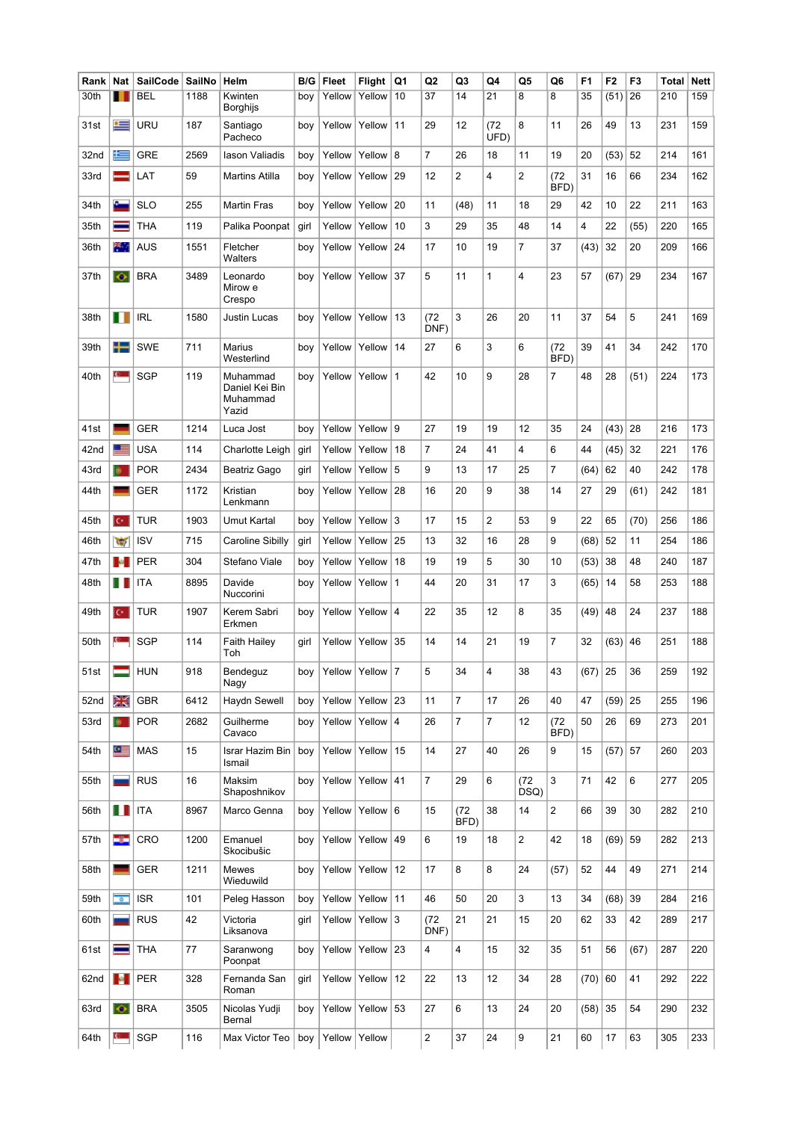| Rank | Nat                      | <b>SailCode</b> | SailNo | Helm                                            | B/G  | <b>Fleet</b>              | <b>Flight</b>    | Q1           | Q2             | Q3             | Q4           | Q5             | Q6             | F <sub>1</sub> | F <sub>2</sub> | F <sub>3</sub> | <b>Total</b> | <b>Nett</b> |
|------|--------------------------|-----------------|--------|-------------------------------------------------|------|---------------------------|------------------|--------------|----------------|----------------|--------------|----------------|----------------|----------------|----------------|----------------|--------------|-------------|
| 30th |                          | <b>BEL</b>      | 1188   | Kwinten<br>Borghijs                             | boy  | Yellow                    | Yellow           | 10           | 37             | 14             | 21           | 8              | 8              | 35             | (51)           | 26             | 210          | 159         |
| 31st | $\equiv$                 | URU             | 187    | Santiago<br>Pacheco                             | boy  | Yellow                    | Yellow           | 11           | 29             | 12             | (72)<br>UFD) | 8              | 11             | 26             | 49             | 13             | 231          | 159         |
| 32nd | 医                        | <b>GRE</b>      | 2569   | lason Valiadis                                  | boy  | Yellow                    | Yellow           | 8            | 7              | 26             | 18           | 11             | 19             | 20             | (53)           | 52             | 214          | 161         |
| 33rd |                          | LAT             | 59     | <b>Martins Atilla</b>                           | boy  | Yellow                    | Yellow           | 29           | 12             | $\overline{2}$ | 4            | 2              | (72)<br>BFD)   | 31             | 16             | 66             | 234          | 162         |
| 34th | c.                       | <b>SLO</b>      | 255    | Martin Fras                                     | boy  | Yellow                    | Yellow           | 20           | 11             | (48)           | 11           | 18             | 29             | 42             | 10             | 22             | 211          | 163         |
| 35th |                          | THA             | 119    | Palika Poonpat                                  | girl | Yellow                    | Yellow           | 10           | 3              | 29             | 35           | 48             | 14             | 4              | 22             | (55)           | 220          | 165         |
| 36th | ж.,                      | AUS             | 1551   | Fletcher<br>Walters                             | boy  | Yellow                    | Yellow           | 24           | 17             | 10             | 19           | 7              | 37             | (43)           | 32             | 20             | 209          | 166         |
| 37th | $\bullet$                | <b>BRA</b>      | 3489   | Leonardo<br>Mirow e<br>Crespo                   | boy  | Yellow                    | Yellow           | 37           | 5              | 11             | 1            | 4              | 23             | 57             | (67)           | 29             | 234          | 167         |
| 38th | П                        | <b>IRL</b>      | 1580   | Justin Lucas                                    | boy  | Yellow                    | Yellow           | 13           | (72)<br>DNF)   | 3              | 26           | 20             | 11             | 37             | 54             | 5              | 241          | 169         |
| 39th | ┶                        | <b>SWE</b>      | 711    | <b>Marius</b><br>Westerlind                     | boy  | Yellow                    | Yellow           | 14           | 27             | 6              | 3            | 6              | (72<br>BFD)    | 39             | 41             | 34             | 242          | 170         |
| 40th |                          | <b>SGP</b>      | 119    | Muhammad<br>Daniel Kei Bin<br>Muhammad<br>Yazid | boy  | Yellow                    | Yellow           | $\mathbf 1$  | 42             | 10             | 9            | 28             | 7              | 48             | 28             | (51)           | 224          | 173         |
| 41st |                          | <b>GER</b>      | 1214   | Luca Jost                                       | boy  | Yellow                    | Yellow           | 9            | 27             | 19             | 19           | 12             | 35             | 24             | (43)           | 28             | 216          | 173         |
| 42nd |                          | <b>USA</b>      | 114    | Charlotte Leigh                                 | girl | Yellow                    | Yellow           | 18           | 7              | 24             | 41           | 4              | 6              | 44             | (45)           | 32             | 221          | 176         |
| 43rd |                          | <b>POR</b>      | 2434   | Beatriz Gago                                    | girl | Yellow                    | Yellow           | 5            | 9              | 13             | 17           | 25             | 7              | (64)           | 62             | 40             | 242          | 178         |
| 44th |                          | <b>GER</b>      | 1172   | Kristian<br>Lenkmann                            | boy  | Yellow                    | Yellow           | 28           | 16             | 20             | 9            | 38             | 14             | 27             | 29             | (61)           | 242          | 181         |
| 45th | lе                       | <b>TUR</b>      | 1903   | Umut Kartal                                     | boy  | Yellow                    | Yellow           | 3            | 17             | 15             | 2            | 53             | 9              | 22             | 65             | (70)           | 256          | 186         |
| 46th | $\overline{\mathcal{C}}$ | <b>ISV</b>      | 715    | Caroline Sibilly                                | girl | Yellow                    | Yellow           | 25           | 13             | 32             | 16           | 28             | 9              | (68)           | 52             | 11             | 254          | 186         |
| 47th | <b>Ball</b>              | <b>PER</b>      | 304    | Stefano Viale                                   | boy  | Yellow                    | Yellow           | 18           | 19             | 19             | 5            | 30             | 10             | (53)           | 38             | 48             | 240          | 187         |
| 48th | . .                      | ITA             | 8895   | Davide<br>Nuccorini                             | boy  | Yellow                    | Yellow           | $\mathbf{1}$ | 44             | 20             | 31           | 17             | 3              | (65)           | 14             | 58             | 253          | 188         |
| 49th | ю                        | <b>TUR</b>      | 1907   | Kerem Sabri<br>Erkmen                           | boy  | Yellow                    | Yellow           | 4            | 22             | 35             | 12           | 8              | 35             | (49)           | 48             | 24             | 237          | 188         |
| 50th |                          | <b>SGP</b>      | 114    | Faith Hailey<br>Toh                             | girl | Yellow                    | Yellow           | 35           | 14             | 14             | 21           | 19             | 7              | 32             | (63)           | 46             | 251          | 188         |
| 51st |                          | <b>HUN</b>      | 918    | Bendeguz<br>Nagy                                |      | boy   Yellow   Yellow   7 |                  |              | 5              | 34             | 4            | 38             | 43             | $(67)$ 25      |                | 36             | 259          | 192         |
| 52nd | Ж                        | <b>GBR</b>      | 6412   | Haydn Sewell                                    | boy  | Yellow                    | Yellow 23        |              | 11             | $\overline{7}$ | 17           | 26             | 40             | 47             | (59)           | 25             | 255          | 196         |
| 53rd | $\bullet$                | <b>POR</b>      | 2682   | Guilherme<br>Cavaco                             | boy  | Yellow                    | Yellow $ 4$      |              | 26             | 7              | 7            | 12             | (72)<br>BFD)   | 50             | 26             | 69             | 273          | 201         |
| 54th | $\bullet$                | <b>MAS</b>      | 15     | Israr Hazim Bin<br>Ismail                       | boy  | Yellow                    | Yellow           | 15           | 14             | 27             | 40           | 26             | 9              | 15             | (57)           | 57             | 260          | 203         |
| 55th |                          | <b>RUS</b>      | 16     | Maksim<br>Shaposhnikov                          | boy  | Yellow                    | Yellow $ 41$     |              | $\overline{7}$ | 29             | 6            | (72)<br>DSQ)   | 3              | 71             | 42             | 6              | 277          | 205         |
| 56th | ПП                       | <b>ITA</b>      | 8967   | Marco Genna                                     | boy  | Yellow                    | Yellow $6$       |              | 15             | (72)<br>BFD)   | 38           | 14             | $\overline{c}$ | 66             | 39             | 30             | 282          | 210         |
| 57th | -3-                      | CRO             | 1200   | Emanuel<br>Skocibušic                           | boy  | Yellow                    | Yellow           | 49           | 6              | 19             | 18           | $\overline{2}$ | 42             | 18             | (69)           | 59             | 282          | 213         |
| 58th |                          | <b>GER</b>      | 1211   | <b>Mewes</b><br>Wieduwild                       | boy  | Yellow                    | $ $ Yellow $ 12$ |              | 17             | 8              | 8            | 24             | (57)           | 52             | 44             | 49             | 271          | 214         |
| 59th | $\overline{\phantom{a}}$ | <b>ISR</b>      | 101    | Peleg Hasson                                    | boy  | Yellow                    | Yellow 11        |              | 46             | 50             | 20           | 3              | 13             | 34             | (68)           | 39             | 284          | 216         |
| 60th |                          | <b>RUS</b>      | 42     | Victoria<br>Liksanova                           | girl | Yellow                    | Yellow $3$       |              | (72<br>DNF)    | 21             | 21           | 15             | 20             | 62             | 33             | 42             | 289          | 217         |
| 61st | ═                        | <b>THA</b>      | 77     | Saranwong<br>Poonpat                            | boy  | Yellow                    | Yellow           | 23           | 4              | 4              | 15           | 32             | 35             | 51             | 56             | (67)           | 287          | 220         |
| 62nd | $\mathcal{A}$            | <b>PER</b>      | 328    | Fernanda San<br>Roman                           | girl | Yellow                    | Yellow $12$      |              | 22             | 13             | 12           | 34             | 28             | $(70)$ 60      |                | 41             | 292          | 222         |
| 63rd | $\bullet$                | <b>BRA</b>      | 3505   | Nicolas Yudji<br>Bernal                         | boy  | Yellow                    | Yellow $ 53$     |              | 27             | 6              | 13           | 24             | 20             | (58)           | 35             | 54             | 290          | 232         |
| 64th | $C =$                    | <b>SGP</b>      | 116    | Max Victor Teo                                  | boy  | Yellow                    | Yellow           |              | 2              | 37             | 24           | 9              | 21             | 60             | 17             | 63             | 305          | 233         |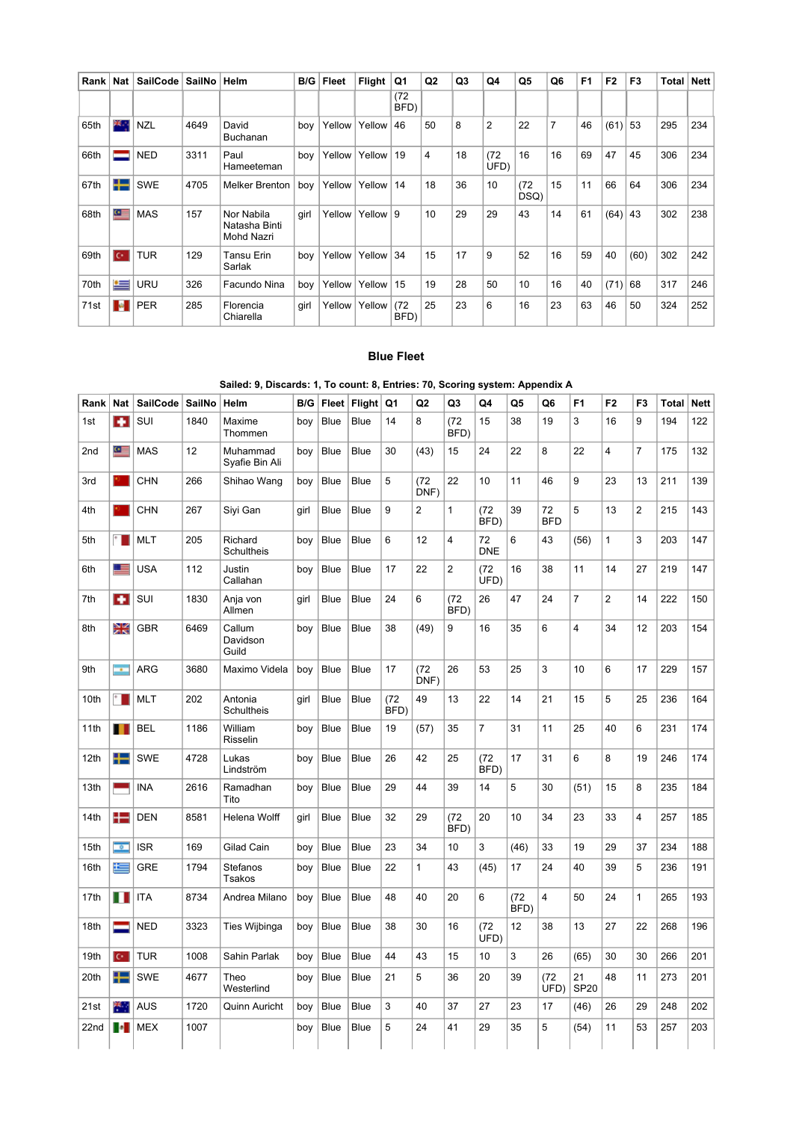| Rank | <b>Nat</b> | <b>SailCode</b> | SailNo | Helm                                      | B/G  | <b>Fleet</b> | <b>Flight</b> | Q1           | Q <sub>2</sub> | Q3 | Q4             | Q5           | Q6             | F <sub>1</sub> | F <sub>2</sub> | F <sub>3</sub> | Total | <b>Nett</b> |
|------|------------|-----------------|--------|-------------------------------------------|------|--------------|---------------|--------------|----------------|----|----------------|--------------|----------------|----------------|----------------|----------------|-------|-------------|
|      |            |                 |        |                                           |      |              |               | (72)<br>BFD) |                |    |                |              |                |                |                |                |       |             |
| 65th | 28 J       | <b>NZL</b>      | 4649   | David<br><b>Buchanan</b>                  | boy  | Yellow       | Yellow        | 46           | 50             | 8  | $\overline{2}$ | 22           | $\overline{7}$ | 46             | (61)           | 53             | 295   | 234         |
| 66th |            | <b>NED</b>      | 3311   | Paul<br>Hameeteman                        | boy  | Yellow       | Yellow        | 19           | 4              | 18 | (72)<br>UFD)   | 16           | 16             | 69             | 47             | 45             | 306   | 234         |
| 67th | 42         | <b>SWE</b>      | 4705   | <b>Melker Brenton</b>                     | boy  | Yellow       | Yellow        | 14           | 18             | 36 | 10             | (72)<br>DSQ) | 15             | 11             | 66             | 64             | 306   | 234         |
| 68th | G.         | <b>MAS</b>      | 157    | Nor Nabila<br>Natasha Binti<br>Mohd Nazri | girl | Yellow       | Yellow        | 9            | 10             | 29 | 29             | 43           | 14             | 61             | (64)           | 43             | 302   | 238         |
| 69th | l C+ i     | <b>TUR</b>      | 129    | Tansu Erin<br>Sarlak                      | boy  | Yellow       | Yellow        | 34           | 15             | 17 | 9              | 52           | 16             | 59             | 40             | (60)           | 302   | 242         |
| 70th | ≔          | URU             | 326    | Facundo Nina                              | boy  | Yellow       | Yellow        | 15           | 19             | 28 | 50             | 10           | 16             | 40             | (71)           | 68             | 317   | 246         |
| 71st | м          | <b>PER</b>      | 285    | Florencia<br>Chiarella                    | girl | Yellow       | Yellow        | (72<br>BFD)  | 25             | 23 | 6              | 16           | 23             | 63             | 46             | 50             | 324   | 252         |

#### Blue Fleet

## Sailed: 9, Discards: 1, To count: 8, Entries: 70, Scoring system: Appendix A

| Rank             | <b>Nat</b>               | <b>SailCode</b> | SailNo | Helm                         | B/G  | Fleet       | Flight      | Q1           | Q <sub>2</sub> | Q3           | Q4               | Q5           | Q6               | F <sub>1</sub>    | F <sub>2</sub> | F <sub>3</sub> | <b>Total</b> | <b>Nett</b> |
|------------------|--------------------------|-----------------|--------|------------------------------|------|-------------|-------------|--------------|----------------|--------------|------------------|--------------|------------------|-------------------|----------------|----------------|--------------|-------------|
| 1st              | æ                        | SUI             | 1840   | Maxime<br>Thommen            | boy  | <b>Blue</b> | <b>Blue</b> | 14           | 8              | (72)<br>BFD) | 15               | 38           | 19               | 3                 | 16             | 9              | 194          | 122         |
| 2nd              | $\bullet$ $\blacksquare$ | <b>MAS</b>      | 12     | Muhammad<br>Syafie Bin Ali   | boy  | <b>Blue</b> | <b>Blue</b> | 30           | (43)           | 15           | 24               | 22           | 8                | 22                | 4              | $\overline{7}$ | 175          | 132         |
| 3rd              |                          | <b>CHN</b>      | 266    | Shihao Wang                  | boy  | <b>Blue</b> | Blue        | 5            | (72)<br>DNF)   | 22           | 10               | 11           | 46               | 9                 | 23             | 13             | 211          | 139         |
| 4th              |                          | <b>CHN</b>      | 267    | Siyi Gan                     | girl | <b>Blue</b> | Blue        | 9            | 2              | $\mathbf{1}$ | (72)<br>BFD)     | 39           | 72<br><b>BFD</b> | 5                 | 13             | $\overline{2}$ | 215          | 143         |
| 5th              | $\ddot{\phantom{0}}$     | <b>MLT</b>      | 205    | Richard<br>Schultheis        | boy  | <b>Blue</b> | <b>Blue</b> | 6            | 12             | 4            | 72<br><b>DNE</b> | 6            | 43               | (56)              | 1              | 3              | 203          | 147         |
| 6th              | Œ                        | <b>USA</b>      | 112    | Justin<br>Callahan           | boy  | Blue        | <b>Blue</b> | 17           | 22             | 2            | (72)<br>UFD)     | 16           | 38               | 11                | 14             | 27             | 219          | 147         |
| 7th              | <b>FR</b>                | SUI             | 1830   | Anja von<br>Allmen           | girl | <b>Blue</b> | <b>Blue</b> | 24           | 6              | (72)<br>BFD) | 26               | 47           | 24               | $\overline{7}$    | $\overline{c}$ | 14             | 222          | 150         |
| 8th              | Ж                        | <b>GBR</b>      | 6469   | Callum<br>Davidson<br>Guild  | boy  | <b>Blue</b> | <b>Blue</b> | 38           | (49)           | 9            | 16               | 35           | 6                | 4                 | 34             | 12             | 203          | 154         |
| 9th              | m.                       | <b>ARG</b>      | 3680   | Maximo Videla                | boy  | <b>Blue</b> | Blue        | 17           | (72)<br>DNF)   | 26           | 53               | 25           | 3                | 10                | 6              | 17             | 229          | 157         |
| 10th             | ٠.                       | <b>MLT</b>      | 202    | Antonia<br><b>Schultheis</b> | girl | <b>Blue</b> | <b>Blue</b> | (72)<br>BFD) | 49             | 13           | 22               | 14           | 21               | 15                | 5              | 25             | 236          | 164         |
| 11th             | т                        | <b>BEL</b>      | 1186   | William<br>Risselin          | boy  | Blue        | <b>Blue</b> | 19           | (57)           | 35           | $\overline{7}$   | 31           | 11               | 25                | 40             | 6              | 231          | 174         |
| 12th             | ┺                        | <b>SWE</b>      | 4728   | Lukas<br>Lindström           | boy  | Blue        | <b>Blue</b> | 26           | 42             | 25           | (72)<br>BFD)     | 17           | 31               | 6                 | 8              | 19             | 246          | 174         |
| 13th             |                          | <b>INA</b>      | 2616   | Ramadhan<br>Tito             | boy  | Blue        | <b>Blue</b> | 29           | 44             | 39           | 14               | 5            | 30               | (51)              | 15             | 8              | 235          | 184         |
| 14th             | ÷                        | <b>DEN</b>      | 8581   | <b>Helena Wolff</b>          | girl | <b>Blue</b> | <b>Blue</b> | 32           | 29             | (72)<br>BFD) | 20               | 10           | 34               | 23                | 33             | 4              | 257          | 185         |
| 15th             | $\overline{\phantom{a}}$ | <b>ISR</b>      | 169    | Gilad Cain                   | boy  | <b>Blue</b> | Blue        | 23           | 34             | 10           | 3                | (46)         | 33               | 19                | 29             | 37             | 234          | 188         |
| 16th             | E                        | <b>GRE</b>      | 1794   | Stefanos<br>Tsakos           | boy  | Blue        | <b>Blue</b> | 22           | $\mathbf{1}$   | 43           | (45)             | 17           | 24               | 40                | 39             | 5              | 236          | 191         |
| 17th             | Ш                        | <b>ITA</b>      | 8734   | Andrea Milano                | boy  | <b>Blue</b> | <b>Blue</b> | 48           | 40             | 20           | 6                | (72)<br>BFD) | 4                | 50                | 24             | $\mathbf{1}$   | 265          | 193         |
| 18th             | ═                        | <b>NED</b>      | 3323   | Ties Wijbinga                | boy  | <b>Blue</b> | Blue        | 38           | 30             | 16           | (72)<br>UFD)     | 12           | 38               | 13                | 27             | 22             | 268          | 196         |
| 19th             | $C^*$                    | <b>TUR</b>      | 1008   | Sahin Parlak                 | boy  | <b>Blue</b> | <b>Blue</b> | 44           | 43             | 15           | 10               | 3            | 26               | (65)              | 30             | 30             | 266          | 201         |
| 20th             | ╄                        | <b>SWE</b>      | 4677   | Theo<br>Westerlind           | boy  | <b>Blue</b> | <b>Blue</b> | 21           | 5              | 36           | 20               | 39           | (72)<br>UFD)     | 21<br><b>SP20</b> | 48             | 11             | 273          | 201         |
| 21st             | 热                        | <b>AUS</b>      | 1720   | Quinn Auricht                | boy  | <b>Blue</b> | Blue        | 3            | 40             | 37           | 27               | 23           | 17               | (46)              | 26             | 29             | 248          | 202         |
| 22 <sub>nd</sub> | п.                       | <b>MEX</b>      | 1007   |                              | boy  | <b>Blue</b> | <b>Blue</b> | 5            | 24             | 41           | 29               | 35           | 5                | (54)              | 11             | 53             | 257          | 203         |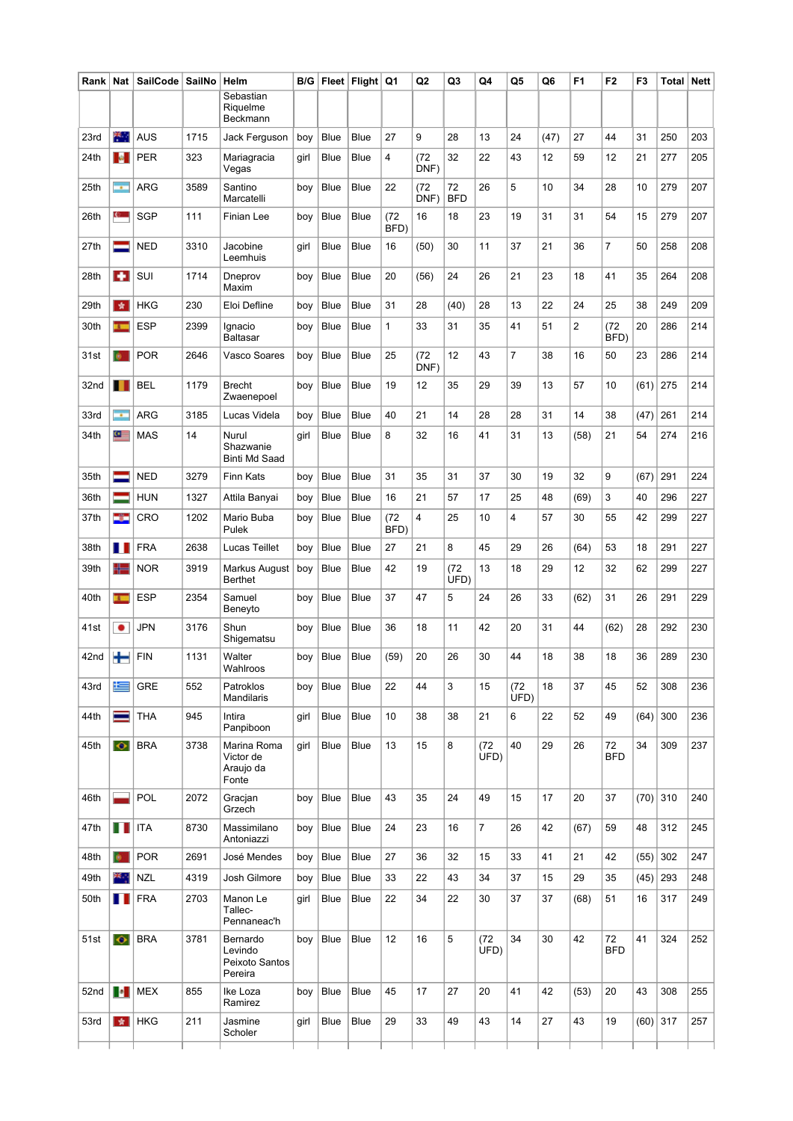| Rank | Nat            | <b>SailCode</b> | <b>SailNo</b> | Helm                                             | B/G  |             | Fleet Flight Q1 |              | Q <sub>2</sub> | Q3               | Q4           | Q5           | Q6   | F <sub>1</sub> | F <sub>2</sub>   | F3         | Total        | <b>Nett</b> |
|------|----------------|-----------------|---------------|--------------------------------------------------|------|-------------|-----------------|--------------|----------------|------------------|--------------|--------------|------|----------------|------------------|------------|--------------|-------------|
|      |                |                 |               | Sebastian<br>Riquelme<br>Beckmann                |      |             |                 |              |                |                  |              |              |      |                |                  |            |              |             |
| 23rd | ₩.,            | <b>AUS</b>      | 1715          | Jack Ferguson                                    | boy  | Blue        | <b>Blue</b>     | 27           | 9              | 28               | 13           | 24           | (47) | 27             | 44               | 31         | 250          | 203         |
| 24th | <b>SALE</b>    | <b>PER</b>      | 323           | Mariagracia<br>Vegas                             | girl | Blue        | Blue            | 4            | (72<br>DNF)    | 32               | 22           | 43           | 12   | 59             | 12               | 21         | 277          | 205         |
| 25th | ÷              | <b>ARG</b>      | 3589          | Santino<br>Marcatelli                            | boy  | Blue        | Blue            | 22           | (72)<br>DNF)   | 72<br><b>BFD</b> | 26           | 5            | 10   | 34             | 28               | 10         | 279          | 207         |
| 26th | C.             | <b>SGP</b>      | 111           | Finian Lee                                       | boy  | Blue        | <b>Blue</b>     | (72)<br>BFD) | 16             | 18               | 23           | 19           | 31   | 31             | 54               | 15         | 279          | 207         |
| 27th | =              | <b>NED</b>      | 3310          | Jacobine<br>Leemhuis                             | girl | Blue        | <b>Blue</b>     | 16           | (50)           | 30               | 11           | 37           | 21   | 36             | $\overline{7}$   | 50         | 258          | 208         |
| 28th |                | SUI             | 1714          | Dneprov<br>Maxim                                 | boy  | Blue        | Blue            | 20           | (56)           | 24               | 26           | 21           | 23   | 18             | 41               | 35         | 264          | 208         |
| 29th | 青              | <b>HKG</b>      | 230           | Eloi Defline                                     | boy  | Blue        | Blue            | 31           | 28             | (40)             | 28           | 13           | 22   | 24             | 25               | 38         | 249          | 209         |
| 30th | $\mathbf{r}$   | <b>ESP</b>      | 2399          | Ignacio<br>Baltasar                              | boy  | Blue        | <b>Blue</b>     | $\mathbf{1}$ | 33             | 31               | 35           | 41           | 51   | $\overline{2}$ | (72)<br>BFD)     | 20         | 286          | 214         |
| 31st | <b>B</b>       | <b>POR</b>      | 2646          | Vasco Soares                                     | boy  | Blue        | Blue            | 25           | (72<br>DNF)    | 12               | 43           | 7            | 38   | 16             | 50               | 23         | 286          | 214         |
| 32nd |                | BEL             | 1179          | Brecht<br>Zwaenepoel                             | boy  | Blue        | Blue            | 19           | 12             | 35               | 29           | 39           | 13   | 57             | 10               | (61)       | 275          | 214         |
| 33rd | ÷              | <b>ARG</b>      | 3185          | Lucas Videla                                     | boy  | Blue        | Blue            | 40           | 21             | 14               | 28           | 28           | 31   | 14             | 38               | (47)       | 261          | 214         |
| 34th | 9              | <b>MAS</b>      | 14            | Nurul<br>Shazwanie<br><b>Binti Md Saad</b>       | girl | Blue        | Blue            | 8            | 32             | 16               | 41           | 31           | 13   | (58)           | 21               | 54         | 274          | 216         |
| 35th | =              | <b>NED</b>      | 3279          | Finn Kats                                        | boy  | Blue        | <b>Blue</b>     | 31           | 35             | 31               | 37           | 30           | 19   | 32             | 9                | (67)       | 291          | 224         |
| 36th |                | <b>HUN</b>      | 1327          | Attila Banyai                                    | boy  | Blue        | Blue            | 16           | 21             | 57               | 17           | 25           | 48   | (69)           | 3                | 40         | 296          | 227         |
| 37th | 22             | <b>CRO</b>      | 1202          | Mario Buba<br>Pulek                              | boy  | Blue        | <b>Blue</b>     | (72)<br>BFD) | 4              | 25               | 10           | 4            | 57   | 30             | 55               | 42         | 299          | 227         |
| 38th | ш              | <b>FRA</b>      | 2638          | Lucas Teillet                                    | boy  | Blue        | Blue            | 27           | 21             | 8                | 45           | 29           | 26   | (64)           | 53               | 18         | 291          | 227         |
| 39th | ₩              | <b>NOR</b>      | 3919          | Markus August<br>Berthet                         | boy  | Blue        | Blue            | 42           | 19             | (72<br>UFD)      | 13           | 18           | 29   | 12             | 32               | 62         | 299          | 227         |
| 40th | $\overline{1}$ | <b>ESP</b>      | 2354          | Samuel<br>Beneyto                                | boy  | Blue        | <b>Blue</b>     | 37           | 47             | 5                | 24           | 26           | 33   | (62)           | 31               | 26         | 291          | 229         |
| 41st | ٠              | JPN             | 3176          | Shun<br>Shigematsu                               | boy  | Blue        | Blue            | 36           | 18             | 11               | 42           | 20           | 31   | 44             | (62)             | 28         | 292          | 230         |
| 42nd | t              | <b>FIN</b>      | 1131          | Walter<br>Wahlroos                               | boy  | Blue        | Blue            | (59)         | 20             | 26               | 30           | 44           | 18   | 38             | 18               | 36         | 289          | 230         |
| 43rd | 隼              | GRE             | 552           | Patroklos<br><b>Mandilaris</b>                   | boy  | Blue        | Blue            | 22           | 44             | 3                | 15           | (72)<br>UFD) | 18   | 37             | 45               | 52         | 308          | 236         |
| 44th |                | <b>THA</b>      | 945           | Intira<br>Panpiboon                              | girl | Blue        | Blue            | 10           | 38             | 38               | 21           | 6            | 22   | 52             | 49               | (64)       | 300          | 236         |
| 45th | $\bullet$      | <b>BRA</b>      | 3738          | Marina Roma<br>Victor de<br>Araujo da<br>Fonte   | girl | Blue        | Blue            | 13           | 15             | 8                | (72)<br>UFD) | 40           | 29   | 26             | 72<br><b>BFD</b> | 34         | 309          | 237         |
| 46th |                | POL             | 2072          | Gracjan<br>Grzech                                | boy  | Blue        | Blue            | 43           | 35             | 24               | 49           | 15           | 17   | 20             | 37               | $(70)$ 310 |              | 240         |
| 47th | П              | <b>ITA</b>      | 8730          | Massimilano<br>Antoniazzi                        | boy  | Blue        | Blue            | 24           | 23             | 16               | 7            | 26           | 42   | (67)           | 59               | 48         | 312          | 245         |
| 48th | a.             | <b>POR</b>      | 2691          | José Mendes                                      | boy  | <b>Blue</b> | Blue            | 27           | 36             | 32               | 15           | 33           | 41   | 21             | 42               | (55)       | 302          | 247         |
| 49th | ж.,            | <b>NZL</b>      | 4319          | Josh Gilmore                                     | boy  | <b>Blue</b> | <b>Blue</b>     | 33           | 22             | 43               | 34           | 37           | 15   | 29             | 35               | $(45)$ 293 |              | 248         |
| 50th | ш              | <b>FRA</b>      | 2703          | Manon Le<br>Tallec-<br>Pennaneac'h               | girl | Blue        | Blue            | 22           | 34             | 22               | 30           | 37           | 37   | (68)           | 51               | 16         | 317          | 249         |
| 51st | $\bullet$      | <b>BRA</b>      | 3781          | Bernardo<br>Levindo<br>Peixoto Santos<br>Pereira | boy  | Blue        | Blue            | 12           | 16             | 5                | (72)<br>UFD) | 34           | 30   | 42             | 72<br><b>BFD</b> | 41         | 324          | 252         |
| 52nd | $\bullet$      | <b>MEX</b>      | 855           | Ike Loza<br>Ramirez                              | boy  | Blue        | Blue            | 45           | 17             | 27               | 20           | 41           | 42   | (53)           | 20               | 43         | 308          | 255         |
| 53rd | ☆              | <b>HKG</b>      | 211           | Jasmine<br>Scholer                               | girl | Blue        | Blue            | 29           | 33             | 49               | 43           | 14           | 27   | 43             | 19               |            | $(60)$   317 | 257         |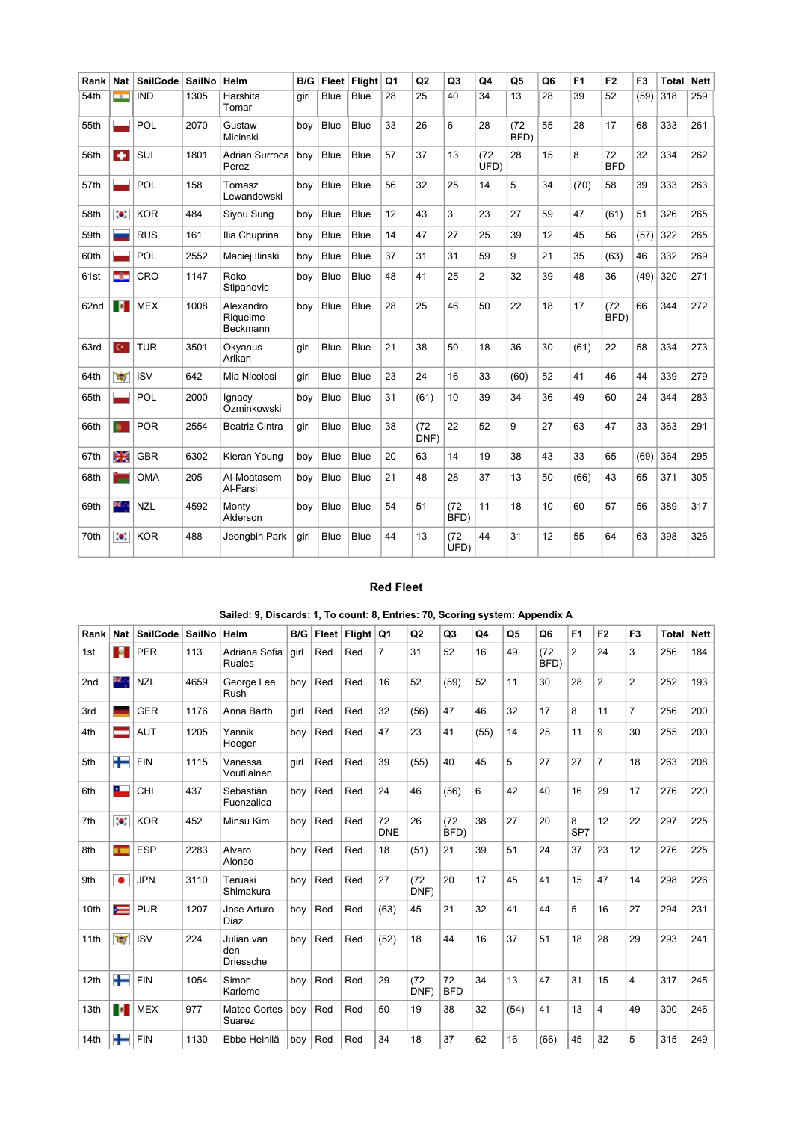| Rank | Nat                      | SailCode   | <b>SailNo</b> | Helm                              | B/G  | <b>Fleet</b> | Flight      | Q <sub>1</sub> | Q <sub>2</sub> | Q <sub>3</sub> | Q4             | Q <sub>5</sub>  | Q <sub>6</sub> | F <sub>1</sub> | F <sub>2</sub>   | F <sub>3</sub> | Total | <b>Nett</b> |
|------|--------------------------|------------|---------------|-----------------------------------|------|--------------|-------------|----------------|----------------|----------------|----------------|-----------------|----------------|----------------|------------------|----------------|-------|-------------|
| 54th | $\rightarrow$            | <b>IND</b> | 1305          | Harshita<br>Tomar                 | girl | <b>Blue</b>  | <b>Blue</b> | 28             | 25             | 40             | 34             | $\overline{13}$ | 28             | 39             | 52               | (59)           | 318   | 259         |
| 55th |                          | POL        | 2070          | Gustaw<br>Micinski                | boy  | <b>Blue</b>  | Blue        | 33             | 26             | 6              | 28             | (72)<br>BFD)    | 55             | 28             | 17               | 68             | 333   | 261         |
| 56th | ÷                        | SUI        | 1801          | Adrian Surroca<br>Perez           | boy  | <b>Blue</b>  | <b>Blue</b> | 57             | 37             | 13             | (72)<br>UFD)   | 28              | 15             | 8              | 72<br><b>BFD</b> | 32             | 334   | 262         |
| 57th |                          | POL        | 158           | Tomasz<br>Lewandowski             | bov  | <b>Blue</b>  | <b>Blue</b> | 56             | 32             | 25             | 14             | 5               | 34             | (70)           | 58               | 39             | 333   | 263         |
| 58th | $\bullet$                | <b>KOR</b> | 484           | Siyou Sung                        | boy  | <b>Blue</b>  | <b>Blue</b> | 12             | 43             | 3              | 23             | 27              | 59             | 47             | (61)             | 51             | 326   | 265         |
| 59th |                          | <b>RUS</b> | 161           | Ilia Chuprina                     | boy  | <b>Blue</b>  | Blue        | 14             | 47             | 27             | 25             | 39              | 12             | 45             | 56               | (57)           | 322   | 265         |
| 60th |                          | POL        | 2552          | Maciej Ilinski                    | boy  | <b>Blue</b>  | Blue        | 37             | 31             | 31             | 59             | 9               | 21             | 35             | (63)             | 46             | 332   | 269         |
| 61st | -31                      | CRO        | 1147          | Roko<br>Stipanovic                | boy  | <b>Blue</b>  | <b>Blue</b> | 48             | 41             | 25             | $\overline{2}$ | 32              | 39             | 48             | 36               | (49)           | 320   | 271         |
| 62nd | <b>Fo</b>                | <b>MEX</b> | 1008          | Alexandro<br>Riquelme<br>Beckmann | bov  | <b>Blue</b>  | <b>Blue</b> | 28             | 25             | 46             | 50             | 22              | 18             | 17             | (72)<br>BFD)     | 66             | 344   | 272         |
| 63rd | $\overline{C}$           | <b>TUR</b> | 3501          | Okyanus<br>Arikan                 | girl | <b>Blue</b>  | Blue        | 21             | 38             | 50             | 18             | 36              | 30             | (61)           | 22               | 58             | 334   | 273         |
| 64th | $\overline{\mathcal{C}}$ | <b>ISV</b> | 642           | Mia Nicolosi                      | girl | <b>Blue</b>  | <b>Blue</b> | 23             | 24             | 16             | 33             | (60)            | 52             | 41             | 46               | 44             | 339   | 279         |
| 65th |                          | POL        | 2000          | Ignacy<br>Ozminkowski             | boy  | <b>Blue</b>  | <b>Blue</b> | 31             | (61)           | 10             | 39             | 34              | 36             | 49             | 60               | 24             | 344   | 283         |
| 66th | ø.                       | <b>POR</b> | 2554          | <b>Beatriz Cintra</b>             | girl | <b>Blue</b>  | <b>Blue</b> | 38             | (72)<br>DNF)   | 22             | 52             | 9               | 27             | 63             | 47               | 33             | 363   | 291         |
| 67th | Ж                        | <b>GBR</b> | 6302          | Kieran Young                      | boy  | <b>Blue</b>  | <b>Blue</b> | 20             | 63             | 14             | 19             | 38              | 43             | 33             | 65               | (69)           | 364   | 295         |
| 68th |                          | <b>OMA</b> | 205           | Al-Moatasem<br>Al-Farsi           | boy  | <b>Blue</b>  | Blue        | 21             | 48             | 28             | 37             | 13              | 50             | (66)           | 43               | 65             | 371   | 305         |
| 69th | 28.                      | <b>NZL</b> | 4592          | Monty<br>Alderson                 | boy  | <b>Blue</b>  | <b>Blue</b> | 54             | 51             | (72)<br>BFD)   | 11             | 18              | 10             | 60             | 57               | 56             | 389   | 317         |
| 70th | $\bullet$                | <b>KOR</b> | 488           | Jeongbin Park                     | girl | <b>Blue</b>  | <b>Blue</b> | 44             | 13             | (72)<br>UFD)   | 44             | 31              | 12             | 55             | 64               | 63             | 398   | 326         |

#### Red Fleet

| Rank | <b>Nat</b>     | <b>SailCode</b> | SailNo | Helm                                  | B/G  | Fleet | $F$ light | Q1               | Q <sub>2</sub> | Q <sub>3</sub>   | Q4   | Q5   | Q <sub>6</sub> | F <sub>1</sub> | F <sub>2</sub> | F <sub>3</sub> | <b>Total</b> | <b>Nett</b> |
|------|----------------|-----------------|--------|---------------------------------------|------|-------|-----------|------------------|----------------|------------------|------|------|----------------|----------------|----------------|----------------|--------------|-------------|
| 1st  | $\mathbf{a}$   | <b>PER</b>      | 113    | Adriana Sofia<br><b>Ruales</b>        | qirl | Red   | Red       | $\overline{7}$   | 31             | 52               | 16   | 49   | (72)<br>BFD)   | $\overline{2}$ | 24             | 3              | 256          | 184         |
| 2nd  | 基本             | <b>NZL</b>      | 4659   | George Lee<br>Rush                    | boy  | Red   | Red       | 16               | 52             | (59)             | 52   | 11   | 30             | 28             | $\overline{2}$ | $\overline{2}$ | 252          | 193         |
| 3rd  |                | <b>GER</b>      | 1176   | Anna Barth                            | qirl | Red   | Red       | 32               | (56)           | 47               | 46   | 32   | 17             | 8              | 11             | $\overline{7}$ | 256          | 200         |
| 4th  |                | <b>AUT</b>      | 1205   | Yannik<br>Hoeger                      | boy  | Red   | Red       | 47               | 23             | 41               | (55) | 14   | 25             | 11             | 9              | 30             | 255          | 200         |
| 5th  | ╈═             | <b>FIN</b>      | 1115   | Vanessa<br>Voutilainen                | qirl | Red   | Red       | 39               | (55)           | 40               | 45   | 5    | 27             | 27             | 7              | 18             | 263          | 208         |
| 6th  | ᅠ              | CHI             | 437    | Sebastián<br>Fuenzalida               | boy  | Red   | Red       | 24               | 46             | (56)             | 6    | 42   | 40             | 16             | 29             | 17             | 276          | 220         |
| 7th  | $\bullet$      | <b>KOR</b>      | 452    | Minsu Kim                             | boy  | Red   | Red       | 72<br><b>DNE</b> | 26             | (72)<br>BFD)     | 38   | 27   | 20             | 8<br>SP7       | 12             | 22             | 297          | 225         |
| 8th  | $\overline{1}$ | <b>ESP</b>      | 2283   | Alvaro<br>Alonso                      | boy  | Red   | Red       | 18               | (51)           | 21               | 39   | 51   | 24             | 37             | 23             | 12             | 276          | 225         |
| 9th  | $\bullet$      | <b>JPN</b>      | 3110   | Teruaki<br>Shimakura                  | boy  | Red   | Red       | 27               | (72)<br>DNF)   | 20               | 17   | 45   | 41             | 15             | 47             | 14             | 298          | 226         |
| 10th | $\equiv$       | <b>PUR</b>      | 1207   | Jose Arturo<br>Diaz                   | boy  | Red   | Red       | (63)             | 45             | 21               | 32   | 41   | 44             | 5              | 16             | 27             | 294          | 231         |
| 11th | $\frac{1}{2}$  | <b>ISV</b>      | 224    | Julian van<br>den<br><b>Driessche</b> | boy  | Red   | Red       | (52)             | 18             | 44               | 16   | 37   | 51             | 18             | 28             | 29             | 293          | 241         |
| 12th | ╄              | <b>FIN</b>      | 1054   | Simon<br>Karlemo                      | boy  | Red   | Red       | 29               | (72)<br>DNF)   | 72<br><b>BFD</b> | 34   | 13   | 47             | 31             | 15             | 4              | 317          | 245         |
| 13th | <b>P</b>       | <b>MEX</b>      | 977    | Mateo Cortes<br>Suarez                | boy  | Red   | Red       | 50               | 19             | 38               | 32   | (54) | 41             | 13             | 4              | 49             | 300          | 246         |
| 14th | ╈              | <b>FIN</b>      | 1130   | Ebbe Heinilä                          | boy  | Red   | Red       | 34               | 18             | 37               | 62   | 16   | (66)           | 45             | 32             | 5              | 315          | 249         |

## Sailed: 9, Discards: 1, To count: 8, Entries: 70, Scoring system: Appendix A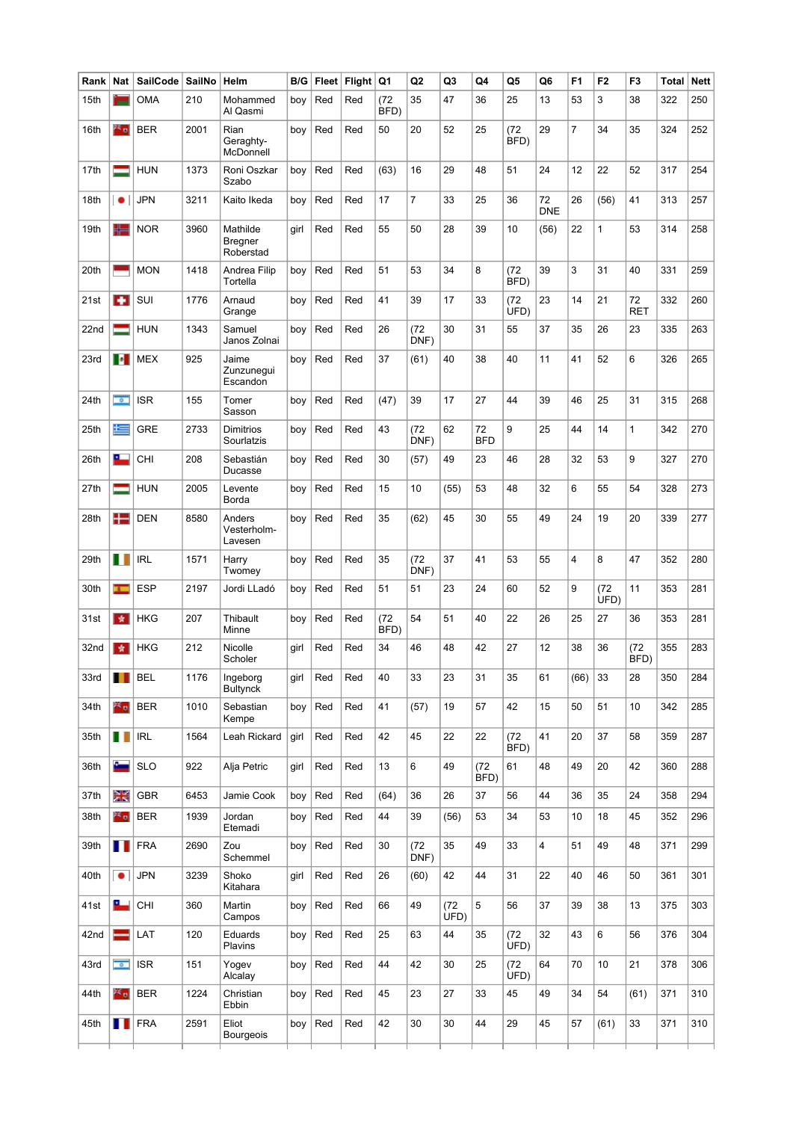| Rank | Nat                      | <b>SailCode</b> | SailNo | Helm                             | B/G  | <b>Fleet</b> | Flight | Q1           | Q <sub>2</sub> | Q3           | Q4               | Q5           | Q6               | F <sub>1</sub> | F <sub>2</sub> | F <sub>3</sub>   | <b>Total</b> | <b>Nett</b> |
|------|--------------------------|-----------------|--------|----------------------------------|------|--------------|--------|--------------|----------------|--------------|------------------|--------------|------------------|----------------|----------------|------------------|--------------|-------------|
| 15th |                          | <b>OMA</b>      | 210    | Mohammed<br>Al Qasmi             | boy  | Red          | Red    | (72)<br>BFD) | 35             | 47           | 36               | 25           | 13               | 53             | 3              | 38               | 322          | 250         |
| 16th | $\mathbb{Z}_{\geq 0}$    | <b>BER</b>      | 2001   | Rian<br>Geraghty-<br>McDonnell   | boy  | Red          | Red    | 50           | 20             | 52           | 25               | (72)<br>BFD) | 29               | 7              | 34             | 35               | 324          | 252         |
| 17th | ═                        | <b>HUN</b>      | 1373   | Roni Oszkar<br>Szabo             | boy  | Red          | Red    | (63)         | 16             | 29           | 48               | 51           | 24               | 12             | 22             | 52               | 317          | 254         |
| 18th | $\bullet$                | <b>JPN</b>      | 3211   | Kaito Ikeda                      | boy  | Red          | Red    | 17           | $\overline{7}$ | 33           | 25               | 36           | 72<br><b>DNE</b> | 26             | (56)           | 41               | 313          | 257         |
| 19th | 52                       | <b>NOR</b>      | 3960   | Mathilde<br>Bregner<br>Roberstad | girl | Red          | Red    | 55           | 50             | 28           | 39               | 10           | (56)             | 22             | $\mathbf{1}$   | 53               | 314          | 258         |
| 20th |                          | <b>MON</b>      | 1418   | Andrea Filip<br>Tortella         | boy  | Red          | Red    | 51           | 53             | 34           | 8                | (72)<br>BFD) | 39               | 3              | 31             | 40               | 331          | 259         |
| 21st | <b>A</b>                 | SUI             | 1776   | Arnaud<br>Grange                 | boy  | Red          | Red    | 41           | 39             | 17           | 33               | (72)<br>UFD) | 23               | 14             | 21             | 72<br><b>RET</b> | 332          | 260         |
| 22nd |                          | <b>HUN</b>      | 1343   | Samuel<br>Janos Zolnai           | boy  | Red          | Red    | 26           | (72)<br>DNF)   | 30           | 31               | 55           | 37               | 35             | 26             | 23               | 335          | 263         |
| 23rd | $\bullet$                | <b>MEX</b>      | 925    | Jaime<br>Zunzunegui<br>Escandon  | boy  | Red          | Red    | 37           | (61)           | 40           | 38               | 40           | 11               | 41             | 52             | 6                | 326          | 265         |
| 24th | $\overline{\phantom{a}}$ | <b>ISR</b>      | 155    | Tomer<br>Sasson                  | boy  | Red          | Red    | (47)         | 39             | 17           | 27               | 44           | 39               | 46             | 25             | 31               | 315          | 268         |
| 25th | 這                        | GRE             | 2733   | Dimitrios<br>Sourlatzis          | boy  | Red          | Red    | 43           | (72)<br>DNF)   | 62           | 72<br><b>BFD</b> | 9            | 25               | 44             | 14             | 1                | 342          | 270         |
| 26th | ⊏                        | <b>CHI</b>      | 208    | Sebastián<br>Ducasse             | boy  | Red          | Red    | 30           | (57)           | 49           | 23               | 46           | 28               | 32             | 53             | 9                | 327          | 270         |
| 27th | ▀                        | <b>HUN</b>      | 2005   | Levente<br>Borda                 | boy  | Red          | Red    | 15           | 10             | (55)         | 53               | 48           | 32               | 6              | 55             | 54               | 328          | 273         |
| 28th | 12                       | <b>DEN</b>      | 8580   | Anders<br>Vesterholm-<br>Lavesen | boy  | Red          | Red    | 35           | (62)           | 45           | 30               | 55           | 49               | 24             | 19             | 20               | 339          | 277         |
| 29th | H I                      | <b>IRL</b>      | 1571   | Harry<br>Twomey                  | boy  | Red          | Red    | 35           | (72)<br>DNF)   | 37           | 41               | 53           | 55               | 4              | 8              | 47               | 352          | 280         |
| 30th | $\mathbf{L}$             | <b>ESP</b>      | 2197   | Jordi LLadó                      | boy  | Red          | Red    | 51           | 51             | 23           | 24               | 60           | 52               | 9              | (72)<br>UFD)   | 11               | 353          | 281         |
| 31st | ★                        | <b>HKG</b>      | 207    | Thibault<br>Minne                | boy  | Red          | Red    | (72)<br>BFD) | 54             | 51           | 40               | 22           | 26               | 25             | 27             | 36               | 353          | 281         |
| 32nd | 责                        | <b>HKG</b>      | 212    | Nicolle<br>Scholer               | girl | Red          | Red    | 34           | 46             | 48           | 42               | 27           | 12               | 38             | 36             | (72)<br>BFD)     | 355          | 283         |
| 33rd | Ш                        | <b>BEL</b>      | 1176   | Ingeborg<br><b>Bultynck</b>      | girl | Red          | Red    | 40           | 33             | 23           | 31               | 35           | 61               | (66)           | 33             | 28               | 350          | 284         |
| 34th | ≥≤ o                     | <b>BER</b>      | 1010   | Sebastian<br>Kempe               | boy  | Red          | Red    | 41           | (57)           | 19           | 57               | 42           | 15               | 50             | 51             | 10               | 342          | 285         |
| 35th | H                        | <b>IRL</b>      | 1564   | Leah Rickard                     | girl | Red          | Red    | 42           | 45             | 22           | 22               | (72)<br>BFD) | 41               | 20             | 37             | 58               | 359          | 287         |
| 36th | ست                       | <b>SLO</b>      | 922    | Alja Petric                      | girl | Red          | Red    | 13           | 6              | 49           | (72)<br>BFD)     | 61           | 48               | 49             | 20             | 42               | 360          | 288         |
| 37th | Ж                        | <b>GBR</b>      | 6453   | Jamie Cook                       | boy  | Red          | Red    | (64)         | 36             | 26           | 37               | 56           | 44               | 36             | 35             | 24               | 358          | 294         |
| 38th | ≥≤ o                     | <b>BER</b>      | 1939   | Jordan<br>Etemadi                | boy  | Red          | Red    | 44           | 39             | (56)         | 53               | 34           | 53               | 10             | 18             | 45               | 352          | 296         |
| 39th | Ш                        | FRA             | 2690   | Zou<br>Schemmel                  | boy  | Red          | Red    | 30           | (72)<br>DNF)   | 35           | 49               | 33           | 4                | 51             | 49             | 48               | 371          | 299         |
| 40th | $\bullet$                | <b>JPN</b>      | 3239   | Shoko<br>Kitahara                | girl | Red          | Red    | 26           | (60)           | 42           | 44               | 31           | 22               | 40             | 46             | 50               | 361          | 301         |
| 41st | ┗                        | <b>CHI</b>      | 360    | Martin<br>Campos                 | boy  | Red          | Red    | 66           | 49             | (72)<br>UFD) | 5                | 56           | 37               | 39             | 38             | 13               | 375          | 303         |
| 42nd | $=$                      | LAT             | 120    | Eduards<br>Plavins               | boy  | Red          | Red    | 25           | 63             | 44           | 35               | (72)<br>UFD) | 32               | 43             | 6              | 56               | 376          | 304         |
| 43rd | $\overline{\bullet}$     | <b>ISR</b>      | 151    | Yogev<br>Alcalay                 | boy  | Red          | Red    | 44           | 42             | 30           | 25               | (72)<br>UFD) | 64               | 70             | 10             | 21               | 378          | 306         |
| 44th | 26 o                     | <b>BER</b>      | 1224   | Christian<br>Ebbin               | boy  | Red          | Red    | 45           | 23             | 27           | 33               | 45           | 49               | 34             | 54             | (61)             | 371          | 310         |
| 45th | . .                      | <b>FRA</b>      | 2591   | Eliot<br>Bourgeois               | boy  | Red          | Red    | 42           | 30             | 30           | 44               | 29           | 45               | 57             | (61)           | 33               | 371          | 310         |
|      |                          |                 |        |                                  |      |              |        |              |                |              |                  |              |                  |                |                |                  |              |             |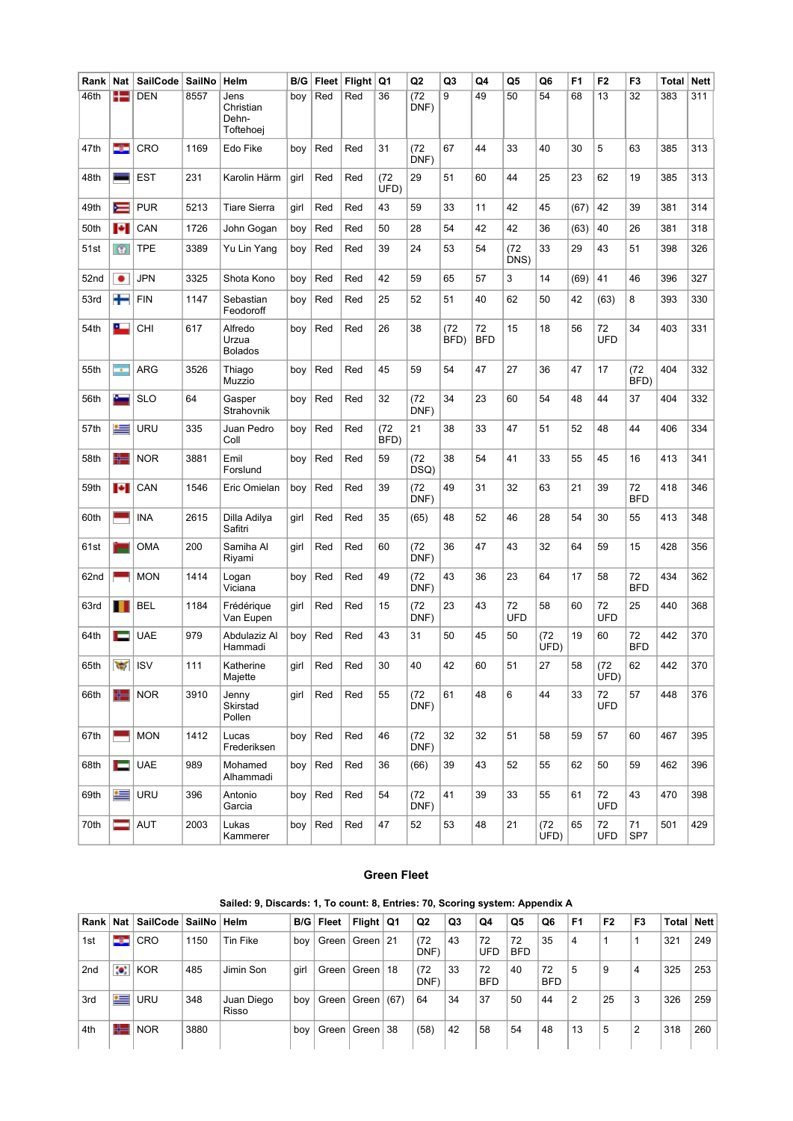| Rank             | Nat                                | <b>SailCode</b> | SailNo | Helm                                    | B/G  | Fleet | <b>Flight</b> | Q1           | Q <sub>2</sub> | Q3           | Q4               | Q5               | Q <sub>6</sub> | F <sub>1</sub> | F <sub>2</sub>   | F <sub>3</sub>   | Total | <b>Nett</b> |
|------------------|------------------------------------|-----------------|--------|-----------------------------------------|------|-------|---------------|--------------|----------------|--------------|------------------|------------------|----------------|----------------|------------------|------------------|-------|-------------|
| 46th             |                                    | <b>DEN</b>      | 8557   | Jens<br>Christian<br>Dehn-<br>Toftehoej | boy  | Red   | Red           | 36           | (72)<br>DNF)   | 9            | 49               | 50               | 54             | 68             | 13               | 32               | 383   | 311         |
| 47th             | 32                                 | CRO             | 1169   | Edo Fike                                | boy  | Red   | Red           | 31           | (72)<br>DNF)   | 67           | 44               | 33               | 40             | 30             | 5                | 63               | 385   | 313         |
| 48th             |                                    | <b>EST</b>      | 231    | Karolin Härm                            | girl | Red   | Red           | (72)<br>UFD) | 29             | 51           | 60               | 44               | 25             | 23             | 62               | 19               | 385   | 313         |
| 49th             | ≂                                  | <b>PUR</b>      | 5213   | <b>Tiare Sierra</b>                     | girl | Red   | Red           | 43           | 59             | 33           | 11               | 42               | 45             | (67)           | 42               | 39               | 381   | 314         |
| 50th             | ы                                  | CAN             | 1726   | John Gogan                              | boy  | Red   | Red           | 50           | 28             | 54           | 42               | 42               | 36             | (63)           | 40               | 26               | 381   | 318         |
| 51st             | $\circ$                            | TPE             | 3389   | Yu Lin Yang                             | boy  | Red   | Red           | 39           | 24             | 53           | 54               | (72)<br>DNS)     | 33             | 29             | 43               | 51               | 398   | 326         |
| 52nd             | ٠                                  | <b>JPN</b>      | 3325   | Shota Kono                              | boy  | Red   | Red           | 42           | 59             | 65           | 57               | 3                | 14             | (69)           | 41               | 46               | 396   | 327         |
| 53rd             | ╈                                  | <b>FIN</b>      | 1147   | Sebastian<br>Feodoroff                  | boy  | Red   | Red           | 25           | 52             | 51           | 40               | 62               | 50             | 42             | (63)             | 8                | 393   | 330         |
| 54th             | ᅠ                                  | CHI             | 617    | Alfredo<br>Urzua<br><b>Bolados</b>      | boy  | Red   | Red           | 26           | 38             | (72)<br>BFD) | 72<br><b>BFD</b> | 15               | 18             | 56             | 72<br><b>UFD</b> | 34               | 403   | 331         |
| 55th             | ÷                                  | <b>ARG</b>      | 3526   | Thiago<br>Muzzio                        | boy  | Red   | Red           | 45           | 59             | 54           | 47               | 27               | 36             | 47             | 17               | (72)<br>BFD)     | 404   | 332         |
| 56th             | c.                                 | <b>SLO</b>      | 64     | Gasper<br>Strahovnik                    | boy  | Red   | Red           | 32           | (72)<br>DNF)   | 34           | 23               | 60               | 54             | 48             | 44               | 37               | 404   | 332         |
| 57th             | ≝                                  | URU             | 335    | Juan Pedro<br>Coll                      | boy  | Red   | Red           | (72)<br>BFD) | 21             | 38           | 33               | 47               | 51             | 52             | 48               | 44               | 406   | 334         |
| 58th             | 45                                 | <b>NOR</b>      | 3881   | Emil<br>Forslund                        | boy  | Red   | Red           | 59           | (72)<br>DSQ)   | 38           | 54               | 41               | 33             | 55             | 45               | 16               | 413   | 341         |
| 59th             | ы                                  | CAN             | 1546   | Eric Omielan                            | boy  | Red   | Red           | 39           | (72)<br>DNF)   | 49           | 31               | 32               | 63             | 21             | 39               | 72<br><b>BFD</b> | 418   | 346         |
| 60th             |                                    | <b>INA</b>      | 2615   | Dilla Adilya<br>Safitri                 | girl | Red   | Red           | 35           | (65)           | 48           | 52               | 46               | 28             | 54             | 30               | 55               | 413   | 348         |
| 61st             |                                    | <b>OMA</b>      | 200    | Samiha Al<br>Riyami                     | girl | Red   | Red           | 60           | (72)<br>DNF)   | 36           | 47               | 43               | 32             | 64             | 59               | 15               | 428   | 356         |
| 62 <sub>nd</sub> |                                    | <b>MON</b>      | 1414   | Logan<br>Viciana                        | boy  | Red   | Red           | 49           | (72)<br>DNF)   | 43           | 36               | 23               | 64             | 17             | 58               | 72<br><b>BFD</b> | 434   | 362         |
| 63rd             |                                    | <b>BEL</b>      | 1184   | Frédérique<br>Van Eupen                 | girl | Red   | Red           | 15           | (72)<br>DNF)   | 23           | 43               | 72<br><b>UFD</b> | 58             | 60             | 72<br><b>UFD</b> | 25               | 440   | 368         |
| 64th             | Е                                  | <b>UAE</b>      | 979    | Abdulaziz Al<br>Hammadi                 | boy  | Red   | Red           | 43           | 31             | 50           | 45               | 50               | (72)<br>UFD)   | 19             | 60               | 72<br><b>BFD</b> | 442   | 370         |
| 65th             | $\overline{\mathcal{L}}$<br>$\sim$ | <b>ISV</b>      | 111    | Katherine<br>Majette                    | girl | Red   | Red           | 30           | 40             | 42           | 60               | 51               | 27             | 58             | (72)<br>UFD)     | 62               | 442   | 370         |
| 66th             | 43                                 | <b>NOR</b>      | 3910   | Jenny<br>Skirstad<br>Pollen             | girl | Red   | Red           | 55           | (72)<br>DNF)   | 61           | 48               | 6                | 44             | 33             | 72<br><b>UFD</b> | 57               | 448   | 376         |
| 67th             |                                    | <b>MON</b>      | 1412   | Lucas<br>Frederiksen                    | boy  | Red   | Red           | 46           | (72)<br>DNF)   | 32           | 32               | 51               | 58             | 59             | 57               | 60               | 467   | 395         |
| 68th             | E                                  | <b>UAE</b>      | 989    | Mohamed<br>Alhammadi                    | boy  | Red   | Red           | 36           | (66)           | 39           | 43               | 52               | 55             | 62             | 50               | 59               | 462   | 396         |
| 69th             | ≝                                  | <b>URU</b>      | 396    | Antonio<br>Garcia                       | boy  | Red   | Red           | 54           | (72)<br>DNF)   | 41           | 39               | 33               | 55             | 61             | 72<br><b>UFD</b> | 43               | 470   | 398         |
| 70th             | =                                  | AUT             | 2003   | Lukas<br>Kammerer                       | boy  | Red   | Red           | 47           | 52             | 53           | 48               | 21               | (72)<br>UFD)   | 65             | 72<br>UFD        | 71<br>SP7        | 501   | 429         |

#### Green Fleet

| Rank l          | Nat         | SailCode   | SailNo Helm |                     | B/G  | Fleet   | Flight $\sqrt{Q_1}$     |      | Q <sub>2</sub> | Q <sub>3</sub> | Q4               | Q5               | Q6               | F <sub>1</sub> | F <sub>2</sub> | F <sub>3</sub> | Total | <b>Nett</b> |
|-----------------|-------------|------------|-------------|---------------------|------|---------|-------------------------|------|----------------|----------------|------------------|------------------|------------------|----------------|----------------|----------------|-------|-------------|
| 1st             | -32         | $ $ CRO    | 1150        | Tin Fike            | boy  | Green   | Green 21                |      | (72)<br>DNF)   | 43             | 72<br><b>UFD</b> | 72<br><b>BFD</b> | 35               | 4              |                |                | 321   | 249         |
| 2 <sub>nd</sub> | $\bullet$ . | KOR        | 485         | Jimin Son           | qirl | Green   | Green   18              |      | (72)<br>DNF)   | 33             | 72<br><b>BFD</b> | 40               | 72<br><b>BFD</b> | 5              | 9              | 4              | 325   | 253         |
| 3rd             | 一           | <b>URU</b> | 348         | Juan Diego<br>Risso | boy  | Green   | ∣ Green I               | (67) | 64             | 34             | 37               | 50               | 44               | 2              | 25             | 3              | 326   | 259         |
| 4th             | ╬═          | <b>NOR</b> | 3880        |                     | bov  | Green I | <sup>⊧</sup> Green I 38 |      | (58)           | 42             | 58               | 54               | 48               | 13             | 5              | $\overline{2}$ | 318   | 260         |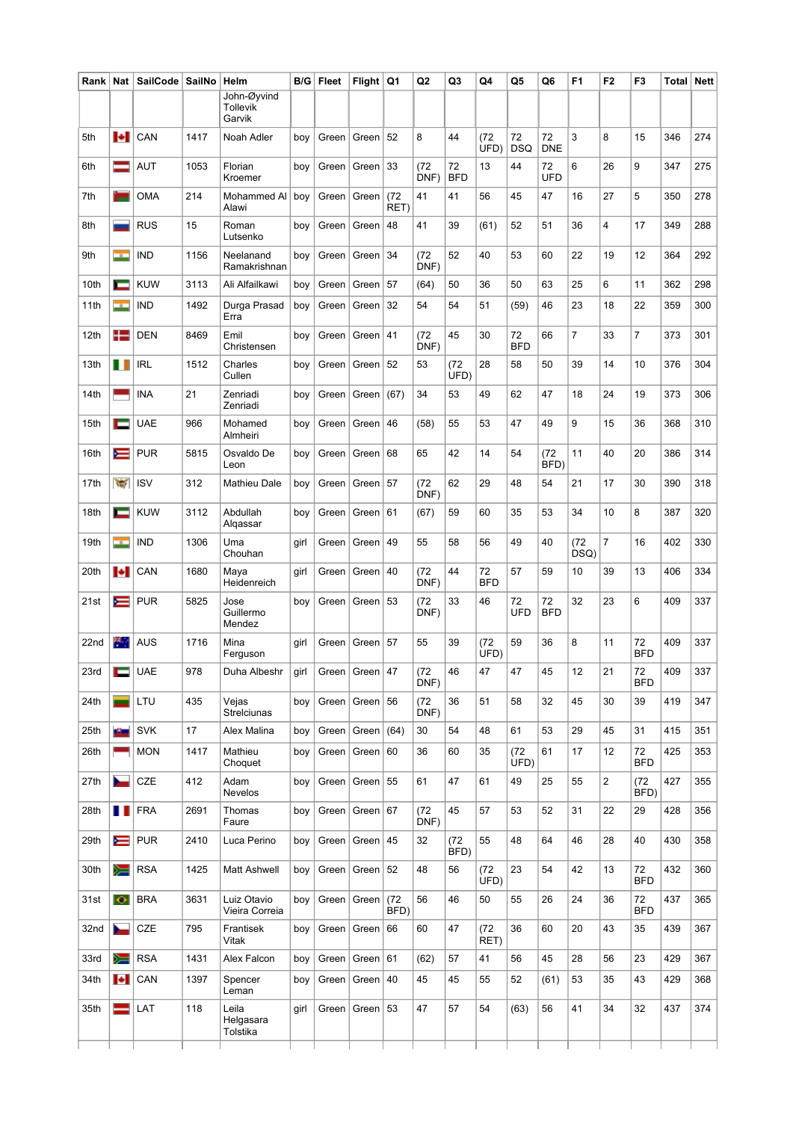| Rank | <b>Nat</b>               | SailCode                     | SailNo | Helm                                     | B/G  | Fleet     | Flight             | Q1           | Q <sub>2</sub> | Q3               | Q4               | Q5               | Q <sub>6</sub>   | F <sub>1</sub> | F <sub>2</sub> | F <sub>3</sub>       | Total | <b>Nett</b> |
|------|--------------------------|------------------------------|--------|------------------------------------------|------|-----------|--------------------|--------------|----------------|------------------|------------------|------------------|------------------|----------------|----------------|----------------------|-------|-------------|
|      |                          |                              |        | John-Øyvind<br><b>Tollevik</b><br>Garvik |      |           |                    |              |                |                  |                  |                  |                  |                |                |                      |       |             |
| 5th  | ы                        | CAN                          | 1417   | Noah Adler                               | boy  | Green     | Green              | 52           | 8              | 44               | (72)<br>UFD)     | 72<br><b>DSQ</b> | 72<br><b>DNE</b> | 3              | 8              | 15                   | 346   | 274         |
| 6th  | ═                        | AUT                          | 1053   | Florian<br>Kroemer                       | boy  | Green     | Green              | 33           | (72)<br>DNF)   | 72<br><b>BFD</b> | 13               | 44               | 72<br><b>UFD</b> | 6              | 26             | 9                    | 347   | 275         |
| 7th  |                          | <b>OMA</b>                   | 214    | Mohammed Al<br>Alawi                     | boy  | Green     | Green              | (72)<br>RET) | 41             | 41               | 56               | 45               | 47               | 16             | 27             | 5                    | 350   | 278         |
| 8th  |                          | <b>RUS</b>                   | 15     | Roman<br>Lutsenko                        | boy  | Green     | Green              | 48           | 41             | 39               | (61)             | 52               | 51               | 36             | 4              | 17                   | 349   | 288         |
| 9th  | - 1                      | <b>IND</b>                   | 1156   | Neelanand<br>Ramakrishnan                | boy  | Green     | Green              | 34           | (72)<br>DNF)   | 52               | 40               | 53               | 60               | 22             | 19             | 12                   | 364   | 292         |
| 10th | −                        | <b>KUW</b>                   | 3113   | Ali Alfailkawi                           | boy  | Green     | Green              | 57           | (64)           | 50               | 36               | 50               | 63               | 25             | 6              | 11                   | 362   | 298         |
| 11th | - 1                      | <b>IND</b>                   | 1492   | Durga Prasad<br>Erra                     | boy  | Green     | Green              | 32           | 54             | 54               | 51               | (59)             | 46               | 23             | 18             | 22                   | 359   | 300         |
| 12th | $\pm$                    | <b>DEN</b>                   | 8469   | Emil<br>Christensen                      | boy  | Green     | Green              | 41           | (72)<br>DNF)   | 45               | 30               | 72<br><b>BFD</b> | 66               | $\overline{7}$ | 33             | $\overline{7}$       | 373   | 301         |
| 13th | П                        | <b>IRL</b>                   | 1512   | Charles<br>Cullen                        | boy  | Green     | Green              | 52           | 53             | (72)<br>UFD)     | 28               | 58               | 50               | 39             | 14             | 10                   | 376   | 304         |
| 14th |                          | INA                          | 21     | Zenriadi<br>Zenriadi                     | boy  | Green     | Green              | (67)         | 34             | 53               | 49               | 62               | 47               | 18             | 24             | 19                   | 373   | 306         |
| 15th | с                        | <b>UAE</b>                   | 966    | Mohamed<br>Almheiri                      | boy  | Green     | Green              | 46           | (58)           | 55               | 53               | 47               | 49               | 9              | 15             | 36                   | 368   | 310         |
| 16th | ⋿                        | <b>PUR</b>                   | 5815   | Osvaldo De<br>Leon                       | boy  |           | Green   Green      | 68           | 65             | 42               | 14               | 54               | (72)<br>BFD)     | 11             | 40             | 20                   | 386   | 314         |
| 17th | $\overline{\mathcal{L}}$ | <b>ISV</b>                   | 312    | <b>Mathieu Dale</b>                      | boy  | Green     | Green              | 57           | (72)<br>DNF)   | 62               | 29               | 48               | 54               | 21             | 17             | 30                   | 390   | 318         |
| 18th | ÷                        | <b>KUW</b>                   | 3112   | Abdullah<br>Alqassar                     | boy  | Green     | Green              | 61           | (67)           | 59               | 60               | 35               | 53               | 34             | 10             | 8                    | 387   | 320         |
| 19th | <b>State</b>             | <b>IND</b>                   | 1306   | Uma<br>Chouhan                           | girl | Green     | Green              | 49           | 55             | 58               | 56               | 49               | 40               | (72)<br>DSQ)   | $\overline{7}$ | 16                   | 402   | 330         |
| 20th | Н                        | CAN                          | 1680   | Maya<br>Heidenreich                      | girl | Green     | Green              | 40           | (72)<br>DNF)   | 44               | 72<br><b>BFD</b> | 57               | 59               | 10             | 39             | 13                   | 406   | 334         |
| 21st | ⋿                        | <b>PUR</b>                   | 5825   | Jose<br>Guillermo<br>Mendez              | boy  | Green $ $ | Green              | 53           | (72)<br>DNF)   | 33               | 46               | 72<br>UFD        | 72<br><b>BFD</b> | 32             | 23             | 6                    | 409   | 337         |
| 22nd | 举.                       | AUS                          | 1716   | Mina<br>Ferguson                         | girl | Green     | Green              | 57           | 55             | 39               | (72)<br>UFD)     | 59               | 36               | 8              | 11             | 72<br><b>BFD</b>     | 409   | 337         |
| 23rd | Е                        | <b>UAE</b>                   | 978    | Duha Albeshr                             | girl |           | Green Green 47     |              | (72)<br>DNF)   | 46               | 47               | 47               | 45               | 12             | 21             | $72\,$<br><b>BFD</b> | 409   | 337         |
| 24th |                          | LTU                          | 435    | Vejas<br>Strelciunas                     | boy  |           | Green   Green   56 |              | (72)<br>DNF)   | 36               | 51               | 58               | 32               | 45             | 30             | 39                   | 419   | 347         |
| 25th | a Chan                   | <b>SVK</b>                   | 17     | Alex Malina                              | boy  |           | Green   Green      | (64)         | 30             | 54               | 48               | 61               | 53               | 29             | 45             | 31                   | 415   | 351         |
| 26th |                          | <b>MON</b>                   | 1417   | Mathieu<br>Choquet                       | boy  | Green     | Green $60$         |              | 36             | 60               | 35               | (72)<br>UFD)     | 61               | 17             | 12             | 72<br><b>BFD</b>     | 425   | 353         |
| 27th | ►                        | CZE                          | 412    | Adam<br>Nevelos                          | boy  |           | Green   Green      | 55           | 61             | 47               | 61               | 49               | 25               | 55             | $\overline{c}$ | (72)<br>BFD)         | 427   | 355         |
| 28th | Ш                        | FRA                          | 2691   | Thomas<br>Faure                          | boy  |           | Green   Green   67 |              | (72)<br>DNF)   | 45               | 57               | 53               | 52               | 31             | 22             | 29                   | 428   | 356         |
| 29th | ≂                        | <b>PUR</b>                   | 2410   | Luca Perino                              | boy  |           | Green   Green      | 45           | 32             | (72)<br>BFD)     | 55               | 48               | 64               | 46             | 28             | 40                   | 430   | 358         |
| 30th | ∕≡                       | <b>RSA</b>                   | 1425   | Matt Ashwell                             | boy  |           | Green   Green   52 |              | 48             | 56               | (72)<br>UFD)     | 23               | 54               | 42             | 13             | 72<br><b>BFD</b>     | 432   | 360         |
| 31st | $\bullet$                | <b>BRA</b>                   | 3631   | Luiz Otavio<br>Vieira Correia            | boy  |           | Green   Green      | (72)<br>BFD) | 56             | 46               | 50               | 55               | 26               | 24             | 36             | 72<br><b>BFD</b>     | 437   | 365         |
| 32nd | ►                        | CZE                          | 795    | Frantisek<br>Vitak                       | boy  |           | Green   Green   66 |              | 60             | 47               | (72)<br>RET)     | 36               | 60               | 20             | 43             | 35                   | 439   | 367         |
| 33rd | ▓                        | RSA                          | 1431   | Alex Falcon                              | boy  |           | Green   Green   61 |              | (62)           | 57               | 41               | 56               | 45               | 28             | 56             | 23                   | 429   | 367         |
| 34th |                          | $\left  \bullet \right $ CAN | 1397   | Spencer<br>Leman                         | boy  | Green     | Green              | 40           | 45             | 45               | 55               | 52               | (61)             | 53             | 35             | 43                   | 429   | 368         |
| 35th |                          | LAT                          | 118    | Leila<br>Helgasara<br>Tolstika           | girl |           | Green   Green   53 |              | 47             | 57               | 54               | (63)             | 56               | 41             | 34             | 32                   | 437   | 374         |
|      |                          |                              |        |                                          |      |           |                    |              |                |                  |                  |                  |                  |                |                |                      |       |             |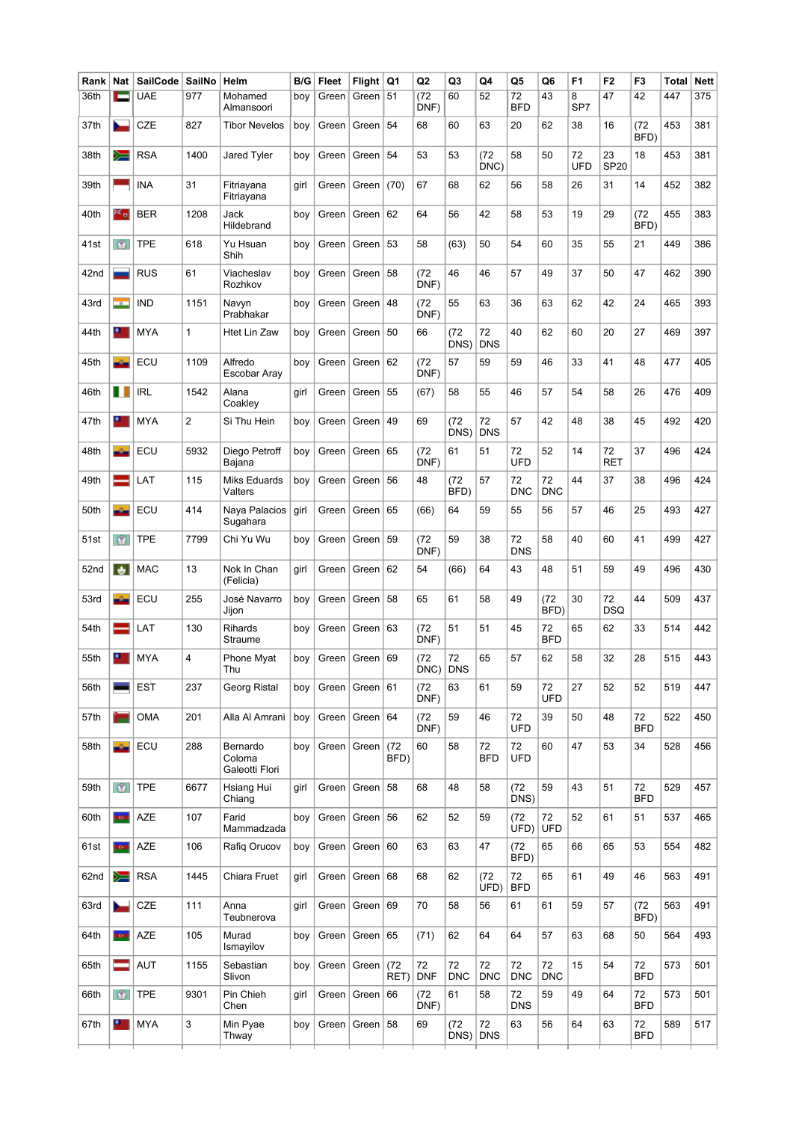| Rank | Nat        | SailCode   | SailNo         | Helm                                 | B/G  | <b>Fleet</b> | Flight             | Q1           | Q2                      | Q3                 | Q4               | Q5               | Q6               | F <sub>1</sub> | F <sub>2</sub>    | F3               | Total | <b>Nett</b> |
|------|------------|------------|----------------|--------------------------------------|------|--------------|--------------------|--------------|-------------------------|--------------------|------------------|------------------|------------------|----------------|-------------------|------------------|-------|-------------|
| 36th | _          | <b>UAE</b> | 977            | Mohamed<br>Almansoori                | boy  | Green        | Green   51         |              | $\overline{72}$<br>DNF) | 60                 | 52               | 72<br><b>BFD</b> | 43               | 8<br>SP7       | 47                | 42               | 447   | 375         |
| 37th |            | CZE        | 827            | <b>Tibor Nevelos</b>                 | boy  | Green        | Green              | 54           | 68                      | 60                 | 63               | 20               | 62               | 38             | 16                | (72<br>BFD)      | 453   | 381         |
| 38th | ▓          | <b>RSA</b> | 1400           | Jared Tyler                          | boy  | Green        | Green              | 54           | 53                      | 53                 | (72)<br>DNC)     | 58               | 50               | 72<br>UFD      | 23<br><b>SP20</b> | 18               | 453   | 381         |
| 39th |            | <b>INA</b> | 31             | Fitriayana<br>Fitriayana             | girl | Green        | Green              | (70)         | 67                      | 68                 | 62               | 56               | 58               | 26             | 31                | 14               | 452   | 382         |
| 40th | ≧≦ o       | <b>BER</b> | 1208           | Jack<br>Hildebrand                   | boy  | Green        | Green              | 62           | 64                      | 56                 | 42               | 58               | 53               | 19             | 29                | (72)<br>BFD)     | 455   | 383         |
| 41st | $\circ$    | TPE        | 618            | Yu Hsuan<br>Shih                     | boy  | Green        | Green              | 53           | 58                      | (63)               | 50               | 54               | 60               | 35             | 55                | 21               | 449   | 386         |
| 42nd |            | <b>RUS</b> | 61             | Viacheslav<br>Rozhkov                | boy  | Green        | Green              | 58           | (72)<br>DNF)            | 46                 | 46               | 57               | 49               | 37             | 50                | 47               | 462   | 390         |
| 43rd | ÷          | <b>IND</b> | 1151           | Navyn<br>Prabhakar                   | boy  | Green        | Green              | 48           | (72)<br>DNF)            | 55                 | 63               | 36               | 63               | 62             | 42                | 24               | 465   | 393         |
| 44th | $\bullet$  | <b>MYA</b> | 1              | <b>Htet Lin Zaw</b>                  | boy  | Green        | Green              | 50           | 66                      | (72)<br>DNS)       | 72<br><b>DNS</b> | 40               | 62               | 60             | 20                | 27               | 469   | 397         |
| 45th | $\Delta$   | ECU        | 1109           | Alfredo<br>Escobar Aray              | boy  | Green        | Green              | 62           | (72)<br>DNF)            | 57                 | 59               | 59               | 46               | 33             | 41                | 48               | 477   | 405         |
| 46th | ш          | <b>IRL</b> | 1542           | Alana<br>Coakley                     | girl | Green        | Green              | 55           | (67)                    | 58                 | 55               | 46               | 57               | 54             | 58                | 26               | 476   | 409         |
| 47th | $\bullet$  | <b>MYA</b> | $\overline{2}$ | Si Thu Hein                          | boy  | Green        | Green              | 49           | 69                      | (72)<br>DNS)       | 72<br><b>DNS</b> | 57               | 42               | 48             | 38                | 45               | 492   | 420         |
| 48th | a.         | ECU        | 5932           | Diego Petroff<br>Bajana              | boy  | Green        | Green              | 65           | (72)<br>DNF)            | 61                 | 51               | 72<br><b>UFD</b> | 52               | 14             | 72<br><b>RET</b>  | 37               | 496   | 424         |
| 49th |            | LAT        | 115            | <b>Miks Eduards</b><br>Valters       | boy  | Green        | Green              | 56           | 48                      | (72)<br>BFD)       | 57               | 72<br><b>DNC</b> | 72<br><b>DNC</b> | 44             | 37                | 38               | 496   | 424         |
| 50th | -5-        | ECU        | 414            | Naya Palacios<br>Sugahara            | girl | Green        | Green              | 65           | (66)                    | 64                 | 59               | 55               | 56               | 57             | 46                | 25               | 493   | 427         |
| 51st | $\circ$    | <b>TPE</b> | 7799           | Chi Yu Wu                            | boy  | Green        | Green              | 59           | (72)<br>DNF)            | 59                 | 38               | 72<br><b>DNS</b> | 58               | 40             | 60                | 41               | 499   | 427         |
| 52nd | ÷.         | <b>MAC</b> | 13             | Nok In Chan<br>(Felicia)             | girl | Green        | Green              | 62           | 54                      | (66)               | 64               | 43               | 48               | 51             | 59                | 49               | 496   | 430         |
| 53rd | a San      | ECU        | 255            | José Navarro<br>Jijon                | boy  | Green        | Green              | 58           | 65                      | 61                 | 58               | 49               | (72)<br>BFD)     | 30             | 72<br><b>DSQ</b>  | 44               | 509   | 437         |
| 54th |            | LAT        | 130            | Rihards<br>Straume                   | boy  | Green $ $    | Green $ 63$        |              | (72)<br>DNF)            | 51                 | 51               | 45               | 72<br><b>BFD</b> | 65             | 62                | 33               | 514   | 442         |
| 55th | $\bullet$  | <b>MYA</b> | 4              | Phone Myat<br>Thu                    | boy  | Green        | Green   69         |              | (72)<br>$DNC$ )         | 72<br><b>DNS</b>   | 65               | 57               | 62               | 58             | 32                | 28               | 515   | 443         |
| 56th |            | <b>EST</b> | 237            | Georg Ristal                         | boy  | Green        | Green $61$         |              | (72<br>DNF)             | 63                 | 61               | 59               | 72<br><b>UFD</b> | 27             | 52                | 52               | 519   | 447         |
| 57th | m          | <b>OMA</b> | 201            | Alla Al Amrani                       | boy  |              | Green   Green   64 |              | (72)<br>DNF)            | 59                 | 46               | 72<br><b>UFD</b> | 39               | 50             | 48                | 72<br><b>BFD</b> | 522   | 450         |
| 58th | $\Delta$   | ECU        | 288            | Bernardo<br>Coloma<br>Galeotti Flori | boy  | Green $ $    | Green              | (72)<br>BFD) | 60                      | 58                 | 72<br><b>BFD</b> | 72<br>UFD        | 60               | 47             | 53                | 34               | 528   | 456         |
| 59th | $\circ$    | <b>TPE</b> | 6677           | Hsiang Hui<br>Chiang                 | girl | Green        | Green              | 58           | 68                      | 48                 | 58               | (72)<br>DNS)     | 59               | 43             | 51                | 72<br><b>BFD</b> | 529   | 457         |
| 60th | <b>KOW</b> | <b>AZE</b> | 107            | Farid<br>Mammadzada                  | boy  |              | Green   Green      | 56           | 62                      | 52                 | 59               | (72)<br>UFD)     | 72<br><b>UFD</b> | 52             | 61                | 51               | 537   | 465         |
| 61st | <b>TOW</b> | <b>AZE</b> | 106            | Rafiq Orucov                         | boy  | Green $ $    | Green              | 60           | 63                      | 63                 | 47               | (72)<br>BFD)     | 65               | 66             | 65                | 53               | 554   | 482         |
| 62nd | ≽≡         | <b>RSA</b> | 1445           | Chiara Fruet                         | girl |              | Green   Green      | 68           | 68                      | 62                 | (72)<br>UFD)     | 72<br><b>BFD</b> | 65               | 61             | 49                | 46               | 563   | 491         |
| 63rd | ►          | CZE        | 111            | Anna<br>Teubnerova                   | girl | Green        | Green              | 69           | 70                      | 58                 | 56               | 61               | 61               | 59             | 57                | (72)<br>BFD)     | 563   | 491         |
| 64th | <b>TO</b>  | <b>AZE</b> | 105            | Murad<br>Ismayilov                   | boy  | Green        | Green              | 65           | (71)                    | 62                 | 64               | 64               | 57               | 63             | 68                | 50               | 564   | 493         |
| 65th | $=$        | <b>AUT</b> | 1155           | Sebastian<br>Slivon                  | boy  |              | Green   Green      | (72)<br>RET) | 72<br><b>DNF</b>        | 72<br><b>DNC</b>   | 72<br><b>DNC</b> | 72<br><b>DNC</b> | 72<br><b>DNC</b> | 15             | 54                | 72<br><b>BFD</b> | 573   | 501         |
| 66th | $\circ$    | <b>TPE</b> | 9301           | Pin Chieh<br>Chen                    | girl | Green        | Green              | 66           | (72)<br>DNF)            | 61                 | 58               | 72<br><b>DNS</b> | 59               | 49             | 64                | 72<br><b>BFD</b> | 573   | 501         |
| 67th | $\bullet$  | <b>MYA</b> | 3              | Min Pyae<br>Thway                    | boy  |              | Green   Green   58 |              | 69                      | (72)<br>$DNS)$ DNS | 72               | 63               | 56               | 64             | 63                | 72<br><b>BFD</b> | 589   | 517         |
|      |            |            |                |                                      |      |              |                    |              |                         |                    |                  |                  |                  |                |                   |                  |       |             |